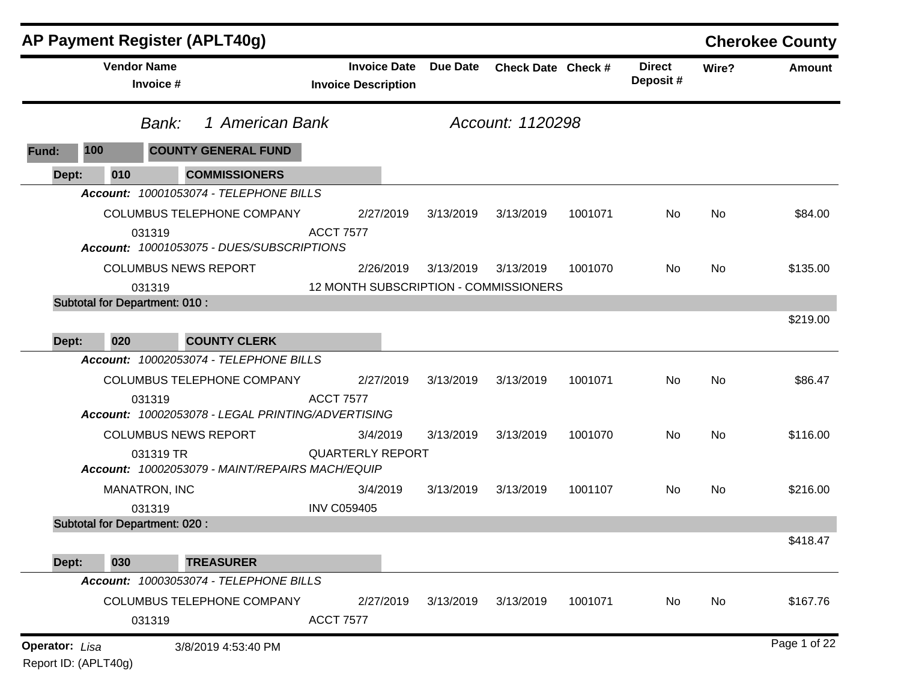|                       |                    | <b>AP Payment Register (APLT40g)</b>                         |                  |                                                   |                 |                    |         |                           |       | <b>Cherokee County</b> |
|-----------------------|--------------------|--------------------------------------------------------------|------------------|---------------------------------------------------|-----------------|--------------------|---------|---------------------------|-------|------------------------|
|                       | <b>Vendor Name</b> | Invoice #                                                    |                  | <b>Invoice Date</b><br><b>Invoice Description</b> | <b>Due Date</b> | Check Date Check # |         | <b>Direct</b><br>Deposit# | Wire? | <b>Amount</b>          |
|                       |                    | 1 American Bank<br>Bank:                                     |                  |                                                   |                 | Account: 1120298   |         |                           |       |                        |
| Fund:                 | 100                | <b>COUNTY GENERAL FUND</b>                                   |                  |                                                   |                 |                    |         |                           |       |                        |
| Dept:                 | 010                | <b>COMMISSIONERS</b>                                         |                  |                                                   |                 |                    |         |                           |       |                        |
|                       |                    | Account: 10001053074 - TELEPHONE BILLS                       |                  |                                                   |                 |                    |         |                           |       |                        |
|                       |                    | <b>COLUMBUS TELEPHONE COMPANY</b>                            |                  | 2/27/2019                                         | 3/13/2019       | 3/13/2019          | 1001071 | No                        | No    | \$84.00                |
|                       |                    | 031319<br>Account: 10001053075 - DUES/SUBSCRIPTIONS          | <b>ACCT 7577</b> |                                                   |                 |                    |         |                           |       |                        |
|                       |                    | <b>COLUMBUS NEWS REPORT</b>                                  |                  | 2/26/2019                                         | 3/13/2019       | 3/13/2019          | 1001070 | No.                       | No    | \$135.00               |
|                       |                    | 031319                                                       |                  | 12 MONTH SUBSCRIPTION - COMMISSIONERS             |                 |                    |         |                           |       |                        |
| Dept:                 | 020                | <b>Subtotal for Department: 010:</b><br><b>COUNTY CLERK</b>  |                  |                                                   |                 |                    |         |                           |       | \$219.00               |
|                       |                    | Account: 10002053074 - TELEPHONE BILLS                       |                  |                                                   |                 |                    |         |                           |       |                        |
|                       |                    | COLUMBUS TELEPHONE COMPANY                                   |                  | 2/27/2019                                         | 3/13/2019       | 3/13/2019          | 1001071 | No                        | No    | \$86.47                |
|                       |                    | 031319<br>Account: 10002053078 - LEGAL PRINTING/ADVERTISING  | <b>ACCT 7577</b> |                                                   |                 |                    |         |                           |       |                        |
|                       |                    | <b>COLUMBUS NEWS REPORT</b>                                  |                  | 3/4/2019                                          | 3/13/2019       | 3/13/2019          | 1001070 | No                        | No    | \$116.00               |
|                       |                    | 031319 TR<br>Account: 10002053079 - MAINT/REPAIRS MACH/EQUIP |                  | <b>QUARTERLY REPORT</b>                           |                 |                    |         |                           |       |                        |
|                       |                    | <b>MANATRON, INC</b>                                         |                  | 3/4/2019                                          | 3/13/2019       | 3/13/2019          | 1001107 | No.                       | No    | \$216.00               |
|                       |                    | 031319                                                       |                  | <b>INV C059405</b>                                |                 |                    |         |                           |       |                        |
|                       |                    | <b>Subtotal for Department: 020:</b>                         |                  |                                                   |                 |                    |         |                           |       |                        |
|                       |                    |                                                              |                  |                                                   |                 |                    |         |                           |       | \$418.47               |
| Dept:                 | 030                | <b>TREASURER</b>                                             |                  |                                                   |                 |                    |         |                           |       |                        |
|                       |                    | Account: 10003053074 - TELEPHONE BILLS                       |                  |                                                   |                 |                    |         |                           |       |                        |
|                       |                    | COLUMBUS TELEPHONE COMPANY                                   |                  | 2/27/2019                                         | 3/13/2019       | 3/13/2019          | 1001071 | No                        | No    | \$167.76               |
|                       |                    | 031319                                                       | <b>ACCT 7577</b> |                                                   |                 |                    |         |                           |       |                        |
| <b>Operator: Lisa</b> |                    | 3/8/2019 4:53:40 PM                                          |                  |                                                   |                 |                    |         |                           |       | Page 1 of 22           |

Report ID: (APLT40g)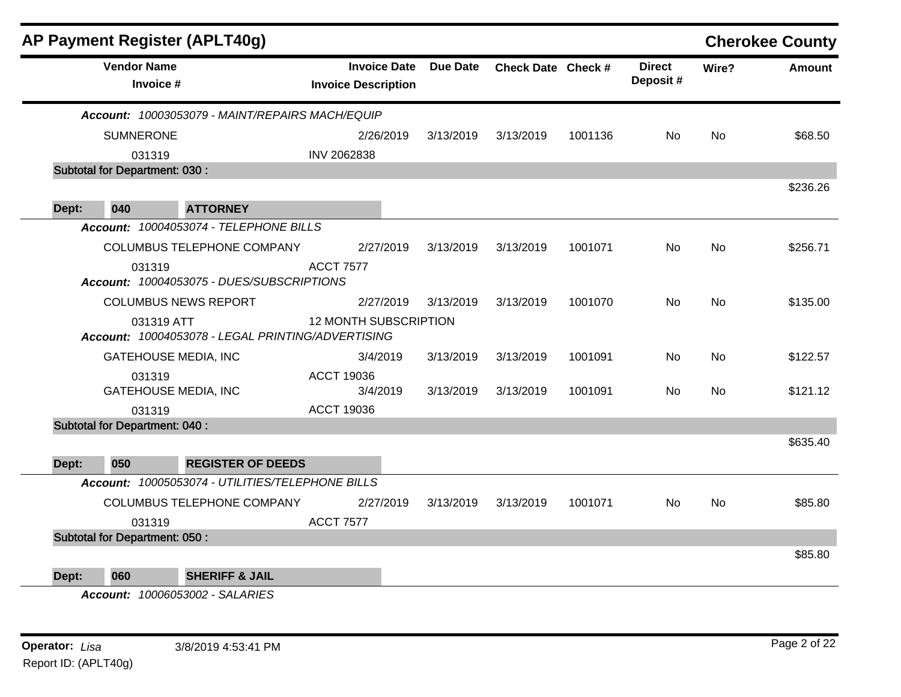|        |                                      | AP Payment Register (APLT40g)                     |                                                   |                 |                    |         |                           |           | <b>Cherokee County</b> |
|--------|--------------------------------------|---------------------------------------------------|---------------------------------------------------|-----------------|--------------------|---------|---------------------------|-----------|------------------------|
|        | <b>Vendor Name</b><br>Invoice #      |                                                   | <b>Invoice Date</b><br><b>Invoice Description</b> | <b>Due Date</b> | Check Date Check # |         | <b>Direct</b><br>Deposit# | Wire?     | <b>Amount</b>          |
|        |                                      | Account: 10003053079 - MAINT/REPAIRS MACH/EQUIP   |                                                   |                 |                    |         |                           |           |                        |
|        | <b>SUMNERONE</b>                     |                                                   | 2/26/2019                                         | 3/13/2019       | 3/13/2019          | 1001136 | No.                       | <b>No</b> | \$68.50                |
| 031319 |                                      | INV 2062838                                       |                                                   |                 |                    |         |                           |           |                        |
|        | <b>Subtotal for Department: 030:</b> |                                                   |                                                   |                 |                    |         |                           |           |                        |
|        |                                      |                                                   |                                                   |                 |                    |         |                           |           | \$236.26               |
| Dept:  | 040                                  | <b>ATTORNEY</b>                                   |                                                   |                 |                    |         |                           |           |                        |
|        |                                      | Account: 10004053074 - TELEPHONE BILLS            |                                                   |                 |                    |         |                           |           |                        |
|        |                                      | COLUMBUS TELEPHONE COMPANY                        | 2/27/2019                                         | 3/13/2019       | 3/13/2019          | 1001071 | No                        | No        | \$256.71               |
|        | 031319                               | Account: 10004053075 - DUES/SUBSCRIPTIONS         | <b>ACCT 7577</b>                                  |                 |                    |         |                           |           |                        |
|        |                                      | <b>COLUMBUS NEWS REPORT</b>                       | 2/27/2019                                         | 3/13/2019       | 3/13/2019          | 1001070 | No.                       | <b>No</b> | \$135.00               |
|        | 031319 ATT                           | Account: 10004053078 - LEGAL PRINTING/ADVERTISING | <b>12 MONTH SUBSCRIPTION</b>                      |                 |                    |         |                           |           |                        |
|        | <b>GATEHOUSE MEDIA, INC</b>          |                                                   | 3/4/2019                                          | 3/13/2019       | 3/13/2019          | 1001091 | No                        | <b>No</b> | \$122.57               |
|        | 031319                               |                                                   | <b>ACCT 19036</b>                                 |                 |                    |         |                           |           |                        |
|        | <b>GATEHOUSE MEDIA, INC</b>          |                                                   | 3/4/2019                                          | 3/13/2019       | 3/13/2019          | 1001091 | No.                       | <b>No</b> | \$121.12               |
|        | 031319                               |                                                   | <b>ACCT 19036</b>                                 |                 |                    |         |                           |           |                        |
|        | <b>Subtotal for Department: 040:</b> |                                                   |                                                   |                 |                    |         |                           |           |                        |
|        |                                      |                                                   |                                                   |                 |                    |         |                           |           | \$635.40               |
| Dept:  | 050                                  | <b>REGISTER OF DEEDS</b>                          |                                                   |                 |                    |         |                           |           |                        |
|        |                                      | Account: 10005053074 - UTILITIES/TELEPHONE BILLS  |                                                   |                 |                    |         |                           |           |                        |
|        |                                      | COLUMBUS TELEPHONE COMPANY                        | 2/27/2019                                         | 3/13/2019       | 3/13/2019          | 1001071 | No.                       | No        | \$85.80                |
|        | 031319                               |                                                   | <b>ACCT 7577</b>                                  |                 |                    |         |                           |           |                        |
|        | <b>Subtotal for Department: 050:</b> |                                                   |                                                   |                 |                    |         |                           |           |                        |
|        |                                      |                                                   |                                                   |                 |                    |         |                           |           | \$85.80                |
|        |                                      |                                                   |                                                   |                 |                    |         |                           |           |                        |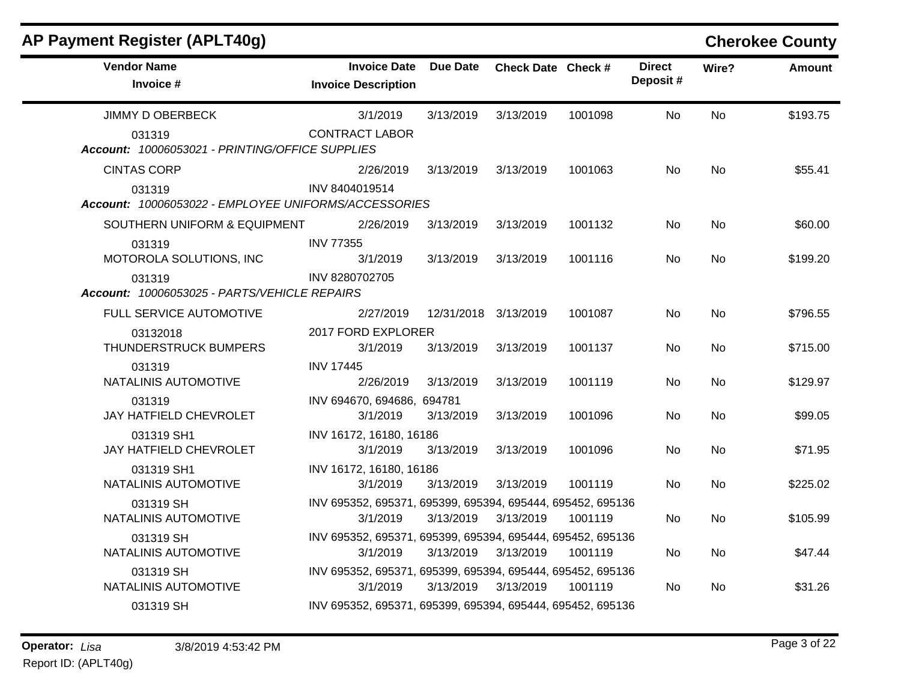| AP Payment Register (APLT40g)                                  |                                                                        |                      |                    |         |                           | <b>Cherokee County</b> |               |
|----------------------------------------------------------------|------------------------------------------------------------------------|----------------------|--------------------|---------|---------------------------|------------------------|---------------|
| <b>Vendor Name</b><br>Invoice #                                | <b>Invoice Date</b><br><b>Invoice Description</b>                      | <b>Due Date</b>      | Check Date Check # |         | <b>Direct</b><br>Deposit# | Wire?                  | <b>Amount</b> |
| <b>JIMMY D OBERBECK</b>                                        | 3/1/2019                                                               | 3/13/2019            | 3/13/2019          | 1001098 | No                        | <b>No</b>              | \$193.75      |
| 031319<br>Account: 10006053021 - PRINTING/OFFICE SUPPLIES      | <b>CONTRACT LABOR</b>                                                  |                      |                    |         |                           |                        |               |
| <b>CINTAS CORP</b>                                             | 2/26/2019                                                              | 3/13/2019            | 3/13/2019          | 1001063 | No                        | No                     | \$55.41       |
| 031319<br>Account: 10006053022 - EMPLOYEE UNIFORMS/ACCESSORIES | INV 8404019514                                                         |                      |                    |         |                           |                        |               |
| SOUTHERN UNIFORM & EQUIPMENT                                   | 2/26/2019                                                              | 3/13/2019            | 3/13/2019          | 1001132 | No                        | <b>No</b>              | \$60.00       |
| 031319<br>MOTOROLA SOLUTIONS, INC                              | <b>INV 77355</b><br>3/1/2019                                           | 3/13/2019            | 3/13/2019          | 1001116 | No.                       | No.                    | \$199.20      |
| 031319<br>Account: 10006053025 - PARTS/VEHICLE REPAIRS         | INV 8280702705                                                         |                      |                    |         |                           |                        |               |
| FULL SERVICE AUTOMOTIVE                                        | 2/27/2019                                                              | 12/31/2018 3/13/2019 |                    | 1001087 | No                        | <b>No</b>              | \$796.55      |
| 03132018<br>THUNDERSTRUCK BUMPERS                              | 2017 FORD EXPLORER<br>3/1/2019                                         | 3/13/2019            | 3/13/2019          | 1001137 | No                        | No                     | \$715.00      |
| 031319<br>NATALINIS AUTOMOTIVE                                 | <b>INV 17445</b><br>2/26/2019                                          | 3/13/2019            | 3/13/2019          | 1001119 | No                        | <b>No</b>              | \$129.97      |
| 031319<br><b>JAY HATFIELD CHEVROLET</b>                        | INV 694670, 694686, 694781<br>3/1/2019                                 | 3/13/2019            | 3/13/2019          | 1001096 | No.                       | No.                    | \$99.05       |
| 031319 SH1<br>JAY HATFIELD CHEVROLET                           | INV 16172, 16180, 16186<br>3/1/2019                                    | 3/13/2019            | 3/13/2019          | 1001096 | No                        | <b>No</b>              | \$71.95       |
| 031319 SH1<br>NATALINIS AUTOMOTIVE                             | INV 16172, 16180, 16186<br>3/1/2019                                    | 3/13/2019            | 3/13/2019          | 1001119 | No.                       | No.                    | \$225.02      |
| 031319 SH<br>NATALINIS AUTOMOTIVE                              | INV 695352, 695371, 695399, 695394, 695444, 695452, 695136<br>3/1/2019 | 3/13/2019            | 3/13/2019          | 1001119 | No                        | No                     | \$105.99      |
| 031319 SH<br>NATALINIS AUTOMOTIVE                              | INV 695352, 695371, 695399, 695394, 695444, 695452, 695136<br>3/1/2019 | 3/13/2019            | 3/13/2019          | 1001119 | No.                       | No                     | \$47.44       |
| 031319 SH<br>NATALINIS AUTOMOTIVE                              | INV 695352, 695371, 695399, 695394, 695444, 695452, 695136<br>3/1/2019 | 3/13/2019            | 3/13/2019          | 1001119 | No.                       | No.                    | \$31.26       |
| 031319 SH                                                      | INV 695352, 695371, 695399, 695394, 695444, 695452, 695136             |                      |                    |         |                           |                        |               |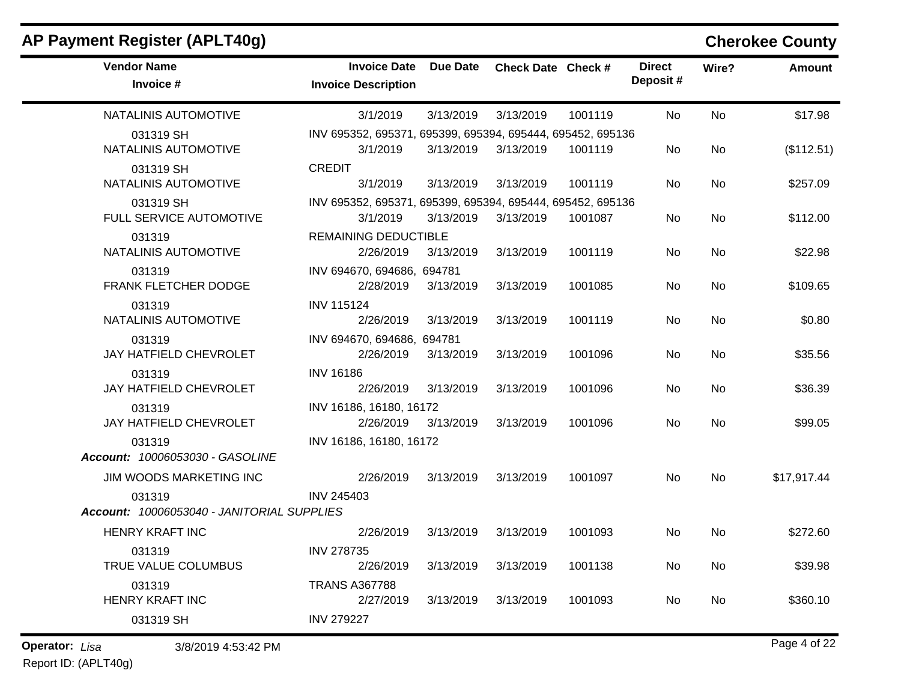| <b>Vendor Name</b><br>Invoice #                      | <b>Invoice Date</b><br><b>Invoice Description</b>                      | Due Date  | Check Date Check # |         | <b>Direct</b><br>Deposit# | Wire?     | <b>Amount</b> |
|------------------------------------------------------|------------------------------------------------------------------------|-----------|--------------------|---------|---------------------------|-----------|---------------|
| NATALINIS AUTOMOTIVE                                 | 3/1/2019                                                               | 3/13/2019 | 3/13/2019          | 1001119 | No                        | <b>No</b> | \$17.98       |
| 031319 SH<br>NATALINIS AUTOMOTIVE                    | INV 695352, 695371, 695399, 695394, 695444, 695452, 695136<br>3/1/2019 | 3/13/2019 | 3/13/2019          | 1001119 | No                        | No        | (\$112.51)    |
| 031319 SH<br>NATALINIS AUTOMOTIVE                    | <b>CREDIT</b><br>3/1/2019                                              | 3/13/2019 | 3/13/2019          | 1001119 | No                        | No        | \$257.09      |
| 031319 SH<br>FULL SERVICE AUTOMOTIVE                 | INV 695352, 695371, 695399, 695394, 695444, 695452, 695136<br>3/1/2019 | 3/13/2019 | 3/13/2019          | 1001087 | No.                       | No        | \$112.00      |
| 031319<br>NATALINIS AUTOMOTIVE                       | <b>REMAINING DEDUCTIBLE</b><br>2/26/2019                               | 3/13/2019 | 3/13/2019          | 1001119 | No                        | <b>No</b> | \$22.98       |
| 031319<br>FRANK FLETCHER DODGE                       | INV 694670, 694686, 694781<br>2/28/2019                                | 3/13/2019 | 3/13/2019          | 1001085 | <b>No</b>                 | <b>No</b> | \$109.65      |
| 031319<br>NATALINIS AUTOMOTIVE                       | <b>INV 115124</b><br>2/26/2019                                         | 3/13/2019 | 3/13/2019          | 1001119 | No                        | <b>No</b> | \$0.80        |
| 031319<br>JAY HATFIELD CHEVROLET                     | INV 694670, 694686, 694781<br>2/26/2019                                | 3/13/2019 | 3/13/2019          | 1001096 | No.                       | <b>No</b> | \$35.56       |
| 031319<br>JAY HATFIELD CHEVROLET                     | <b>INV 16186</b><br>2/26/2019                                          | 3/13/2019 | 3/13/2019          | 1001096 | No.                       | No        | \$36.39       |
| 031319<br>JAY HATFIELD CHEVROLET                     | INV 16186, 16180, 16172<br>2/26/2019                                   | 3/13/2019 | 3/13/2019          | 1001096 | No.                       | <b>No</b> | \$99.05       |
| 031319<br>Account: 10006053030 - GASOLINE            | INV 16186, 16180, 16172                                                |           |                    |         |                           |           |               |
| JIM WOODS MARKETING INC                              | 2/26/2019                                                              | 3/13/2019 | 3/13/2019          | 1001097 | No.                       | <b>No</b> | \$17,917.44   |
| 031319<br>Account: 10006053040 - JANITORIAL SUPPLIES | <b>INV 245403</b>                                                      |           |                    |         |                           |           |               |
| HENRY KRAFT INC                                      | 2/26/2019                                                              | 3/13/2019 | 3/13/2019          | 1001093 | No.                       | <b>No</b> | \$272.60      |
| 031319<br>TRUE VALUE COLUMBUS                        | <b>INV 278735</b><br>2/26/2019                                         | 3/13/2019 | 3/13/2019          | 1001138 | No.                       | <b>No</b> | \$39.98       |
| 031319<br><b>HENRY KRAFT INC</b>                     | <b>TRANS A367788</b><br>2/27/2019                                      | 3/13/2019 | 3/13/2019          | 1001093 | No.                       | <b>No</b> | \$360.10      |
| 031319 SH                                            | <b>INV 279227</b>                                                      |           |                    |         |                           |           |               |

## **AP Payment Register (APLT40g) Cherokee County**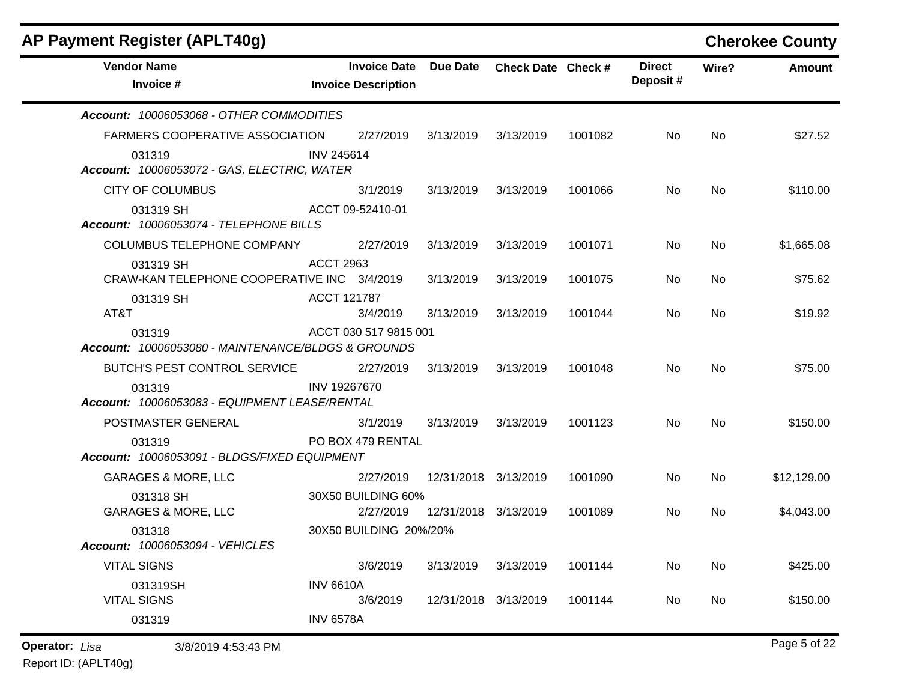| AP Payment Register (APLT40g)                                |                                                   |                      |                    |         |                           |       | <b>Cherokee County</b> |
|--------------------------------------------------------------|---------------------------------------------------|----------------------|--------------------|---------|---------------------------|-------|------------------------|
| <b>Vendor Name</b><br>Invoice #                              | <b>Invoice Date</b><br><b>Invoice Description</b> | Due Date             | Check Date Check # |         | <b>Direct</b><br>Deposit# | Wire? | Amount                 |
| Account: 10006053068 - OTHER COMMODITIES                     |                                                   |                      |                    |         |                           |       |                        |
| FARMERS COOPERATIVE ASSOCIATION                              | 2/27/2019                                         | 3/13/2019            | 3/13/2019          | 1001082 | No.                       | No    | \$27.52                |
| 031319<br>Account: 10006053072 - GAS, ELECTRIC, WATER        | <b>INV 245614</b>                                 |                      |                    |         |                           |       |                        |
| <b>CITY OF COLUMBUS</b>                                      | 3/1/2019                                          | 3/13/2019            | 3/13/2019          | 1001066 | No.                       | No    | \$110.00               |
| 031319 SH<br>Account: 10006053074 - TELEPHONE BILLS          | ACCT 09-52410-01                                  |                      |                    |         |                           |       |                        |
| COLUMBUS TELEPHONE COMPANY                                   | 2/27/2019                                         | 3/13/2019            | 3/13/2019          | 1001071 | No.                       | No    | \$1,665.08             |
| 031319 SH<br>CRAW-KAN TELEPHONE COOPERATIVE INC 3/4/2019     | <b>ACCT 2963</b>                                  | 3/13/2019            | 3/13/2019          | 1001075 | No.                       | No.   | \$75.62                |
| 031319 SH<br>AT&T                                            | <b>ACCT 121787</b><br>3/4/2019                    | 3/13/2019            | 3/13/2019          | 1001044 | No.                       | No    | \$19.92                |
| 031319<br>Account: 10006053080 - MAINTENANCE/BLDGS & GROUNDS | ACCT 030 517 9815 001                             |                      |                    |         |                           |       |                        |
| BUTCH'S PEST CONTROL SERVICE                                 | 2/27/2019                                         | 3/13/2019            | 3/13/2019          | 1001048 | No.                       | No    | \$75.00                |
| 031319<br>Account: 10006053083 - EQUIPMENT LEASE/RENTAL      | INV 19267670                                      |                      |                    |         |                           |       |                        |
| POSTMASTER GENERAL                                           | 3/1/2019                                          | 3/13/2019            | 3/13/2019          | 1001123 | No.                       | No    | \$150.00               |
| 031319<br>Account: 10006053091 - BLDGS/FIXED EQUIPMENT       | PO BOX 479 RENTAL                                 |                      |                    |         |                           |       |                        |
| <b>GARAGES &amp; MORE, LLC</b>                               | 2/27/2019                                         | 12/31/2018 3/13/2019 |                    | 1001090 | No.                       | No    | \$12,129.00            |
| 031318 SH<br><b>GARAGES &amp; MORE, LLC</b>                  | 30X50 BUILDING 60%<br>2/27/2019                   | 12/31/2018 3/13/2019 |                    | 1001089 | No                        | No.   | \$4,043.00             |
| 031318<br>Account: 10006053094 - VEHICLES                    | 30X50 BUILDING 20%/20%                            |                      |                    |         |                           |       |                        |
| <b>VITAL SIGNS</b>                                           | 3/6/2019                                          | 3/13/2019            | 3/13/2019          | 1001144 | No                        | No    | \$425.00               |
| 031319SH<br><b>VITAL SIGNS</b>                               | <b>INV 6610A</b><br>3/6/2019                      | 12/31/2018 3/13/2019 |                    | 1001144 | No                        | No    | \$150.00               |
| 031319                                                       | <b>INV 6578A</b>                                  |                      |                    |         |                           |       |                        |
| <b>Operator: Lisa</b><br>3/8/2019 4:53:43 PM                 |                                                   |                      |                    |         |                           |       | Page 5 of 22           |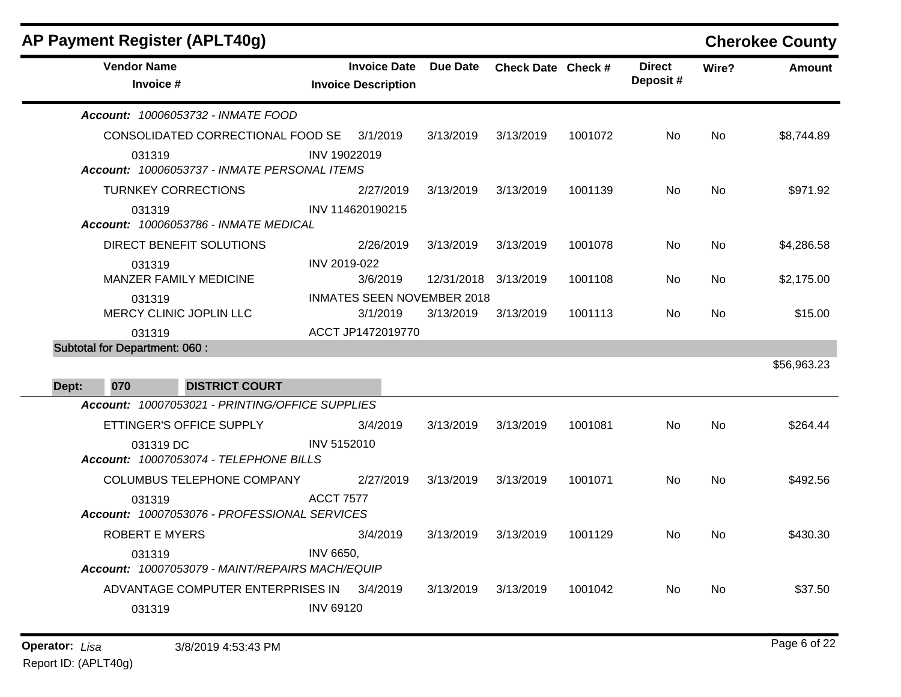|       |                                      | <b>AP Payment Register (APLT40g)</b>            |                  |                                                   |                 |                    |         |                           |           | <b>Cherokee County</b> |
|-------|--------------------------------------|-------------------------------------------------|------------------|---------------------------------------------------|-----------------|--------------------|---------|---------------------------|-----------|------------------------|
|       | <b>Vendor Name</b><br>Invoice #      |                                                 |                  | <b>Invoice Date</b><br><b>Invoice Description</b> | <b>Due Date</b> | Check Date Check # |         | <b>Direct</b><br>Deposit# | Wire?     | <b>Amount</b>          |
|       |                                      | Account: 10006053732 - INMATE FOOD              |                  |                                                   |                 |                    |         |                           |           |                        |
|       |                                      | CONSOLIDATED CORRECTIONAL FOOD SE               |                  | 3/1/2019                                          | 3/13/2019       | 3/13/2019          | 1001072 | No.                       | <b>No</b> | \$8,744.89             |
|       | 031319                               | Account: 10006053737 - INMATE PERSONAL ITEMS    | INV 19022019     |                                                   |                 |                    |         |                           |           |                        |
|       |                                      | <b>TURNKEY CORRECTIONS</b>                      |                  | 2/27/2019                                         | 3/13/2019       | 3/13/2019          | 1001139 | No.                       | No.       | \$971.92               |
|       | 031319                               | Account: 10006053786 - INMATE MEDICAL           |                  | INV 114620190215                                  |                 |                    |         |                           |           |                        |
|       |                                      | DIRECT BENEFIT SOLUTIONS                        |                  | 2/26/2019                                         | 3/13/2019       | 3/13/2019          | 1001078 | No                        | <b>No</b> | \$4,286.58             |
|       | 031319                               |                                                 | INV 2019-022     |                                                   |                 |                    |         |                           |           |                        |
|       |                                      | MANZER FAMILY MEDICINE                          |                  | 3/6/2019                                          | 12/31/2018      | 3/13/2019          | 1001108 | No                        | No        | \$2,175.00             |
|       | 031319                               | MERCY CLINIC JOPLIN LLC                         |                  | <b>INMATES SEEN NOVEMBER 2018</b><br>3/1/2019     | 3/13/2019       | 3/13/2019          | 1001113 | No.                       | No        | \$15.00                |
|       | 031319                               |                                                 |                  | ACCT JP1472019770                                 |                 |                    |         |                           |           |                        |
|       | <b>Subtotal for Department: 060:</b> |                                                 |                  |                                                   |                 |                    |         |                           |           |                        |
|       |                                      |                                                 |                  |                                                   |                 |                    |         |                           |           | \$56,963.23            |
| Dept: | 070                                  | <b>DISTRICT COURT</b>                           |                  |                                                   |                 |                    |         |                           |           |                        |
|       |                                      | Account: 10007053021 - PRINTING/OFFICE SUPPLIES |                  |                                                   |                 |                    |         |                           |           |                        |
|       |                                      | ETTINGER'S OFFICE SUPPLY                        |                  | 3/4/2019                                          | 3/13/2019       | 3/13/2019          | 1001081 | No                        | No        | \$264.44               |
|       | 031319 DC                            | Account: 10007053074 - TELEPHONE BILLS          | INV 5152010      |                                                   |                 |                    |         |                           |           |                        |
|       |                                      | COLUMBUS TELEPHONE COMPANY                      |                  | 2/27/2019                                         | 3/13/2019       | 3/13/2019          | 1001071 | No                        | No        | \$492.56               |
|       | 031319                               |                                                 | <b>ACCT 7577</b> |                                                   |                 |                    |         |                           |           |                        |
|       |                                      | Account: 10007053076 - PROFESSIONAL SERVICES    |                  |                                                   |                 |                    |         |                           |           |                        |
|       | <b>ROBERT E MYERS</b>                |                                                 |                  | 3/4/2019                                          | 3/13/2019       | 3/13/2019          | 1001129 | No.                       | No        | \$430.30               |
|       | 031319                               |                                                 | <b>INV 6650,</b> |                                                   |                 |                    |         |                           |           |                        |
|       |                                      | Account: 10007053079 - MAINT/REPAIRS MACH/EQUIP |                  |                                                   |                 |                    |         |                           |           |                        |
|       |                                      | ADVANTAGE COMPUTER ENTERPRISES IN               |                  | 3/4/2019                                          | 3/13/2019       | 3/13/2019          | 1001042 | No                        | No        | \$37.50                |
|       | 031319                               |                                                 | <b>INV 69120</b> |                                                   |                 |                    |         |                           |           |                        |
|       |                                      |                                                 |                  |                                                   |                 |                    |         |                           |           |                        |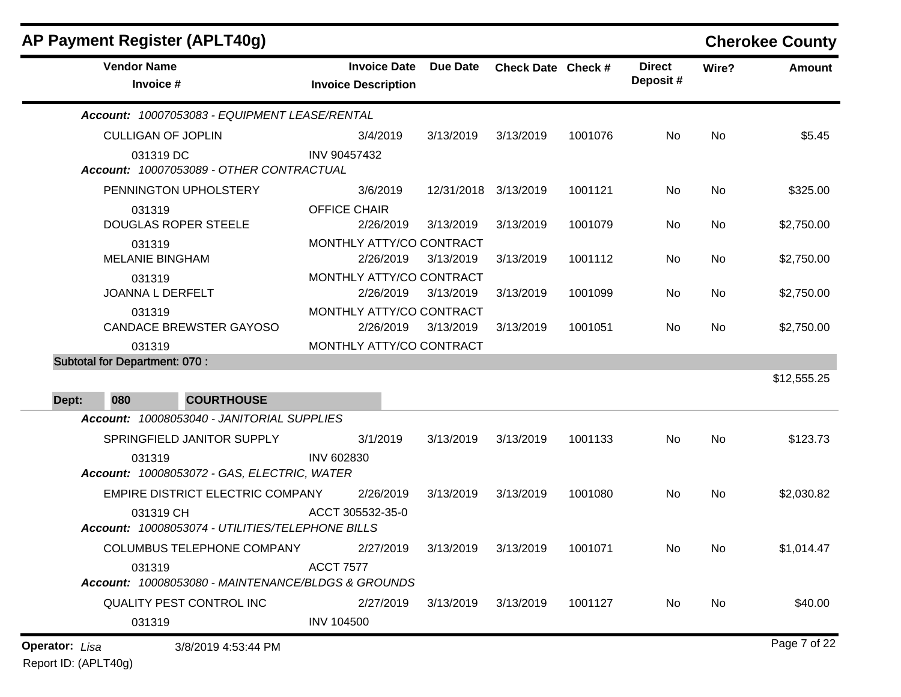|                       | AP Payment Register (APLT40g)                                 |                                                   |                      |                    |         |                           |       | <b>Cherokee County</b> |
|-----------------------|---------------------------------------------------------------|---------------------------------------------------|----------------------|--------------------|---------|---------------------------|-------|------------------------|
|                       | <b>Vendor Name</b><br>Invoice #                               | <b>Invoice Date</b><br><b>Invoice Description</b> | Due Date             | Check Date Check # |         | <b>Direct</b><br>Deposit# | Wire? | Amount                 |
|                       | Account: 10007053083 - EQUIPMENT LEASE/RENTAL                 |                                                   |                      |                    |         |                           |       |                        |
|                       | <b>CULLIGAN OF JOPLIN</b>                                     | 3/4/2019                                          | 3/13/2019            | 3/13/2019          | 1001076 | No                        | No    | \$5.45                 |
|                       | 031319 DC<br>Account: 10007053089 - OTHER CONTRACTUAL         | INV 90457432                                      |                      |                    |         |                           |       |                        |
|                       | PENNINGTON UPHOLSTERY                                         | 3/6/2019                                          | 12/31/2018 3/13/2019 |                    | 1001121 | No                        | No    | \$325.00               |
|                       | 031319<br><b>DOUGLAS ROPER STEELE</b>                         | <b>OFFICE CHAIR</b><br>2/26/2019                  | 3/13/2019            | 3/13/2019          | 1001079 | No.                       | No    | \$2,750.00             |
|                       | 031319<br><b>MELANIE BINGHAM</b>                              | MONTHLY ATTY/CO CONTRACT<br>2/26/2019             | 3/13/2019            | 3/13/2019          | 1001112 | No                        | No    | \$2,750.00             |
|                       | 031319<br>JOANNA L DERFELT                                    | MONTHLY ATTY/CO CONTRACT<br>2/26/2019             | 3/13/2019            | 3/13/2019          | 1001099 | No.                       | No    | \$2,750.00             |
|                       | 031319<br><b>CANDACE BREWSTER GAYOSO</b>                      | MONTHLY ATTY/CO CONTRACT<br>2/26/2019             | 3/13/2019            | 3/13/2019          | 1001051 | No                        | No    | \$2,750.00             |
|                       | 031319                                                        | MONTHLY ATTY/CO CONTRACT                          |                      |                    |         |                           |       |                        |
|                       | <b>Subtotal for Department: 070:</b>                          |                                                   |                      |                    |         |                           |       |                        |
|                       |                                                               |                                                   |                      |                    |         |                           |       | \$12,555.25            |
| Dept:                 | <b>COURTHOUSE</b><br>080                                      |                                                   |                      |                    |         |                           |       |                        |
|                       | Account: 10008053040 - JANITORIAL SUPPLIES                    |                                                   |                      |                    |         |                           |       |                        |
|                       | SPRINGFIELD JANITOR SUPPLY<br>031319                          | 3/1/2019<br><b>INV 602830</b>                     | 3/13/2019            | 3/13/2019          | 1001133 | No                        | No    | \$123.73               |
|                       | Account: 10008053072 - GAS, ELECTRIC, WATER                   |                                                   |                      |                    |         |                           |       |                        |
|                       | EMPIRE DISTRICT ELECTRIC COMPANY                              | 2/26/2019                                         | 3/13/2019            | 3/13/2019          | 1001080 | No                        | No    | \$2,030.82             |
|                       | 031319 CH<br>Account: 10008053074 - UTILITIES/TELEPHONE BILLS | ACCT 305532-35-0                                  |                      |                    |         |                           |       |                        |
|                       | COLUMBUS TELEPHONE COMPANY 2/27/2019 3/13/2019 3/13/2019      |                                                   |                      |                    | 1001071 | No                        | No    | \$1,014.47             |
|                       | 031319<br>Account: 10008053080 - MAINTENANCE/BLDGS & GROUNDS  | <b>ACCT 7577</b>                                  |                      |                    |         |                           |       |                        |
|                       | QUALITY PEST CONTROL INC                                      | 2/27/2019                                         | 3/13/2019            | 3/13/2019          | 1001127 | No                        | No    | \$40.00                |
|                       | 031319                                                        | <b>INV 104500</b>                                 |                      |                    |         |                           |       |                        |
| <b>Operator:</b> Lisa | 3/8/2019 4:53:44 PM                                           |                                                   |                      |                    |         |                           |       | Page 7 of 22           |

Report ID: (APLT40g)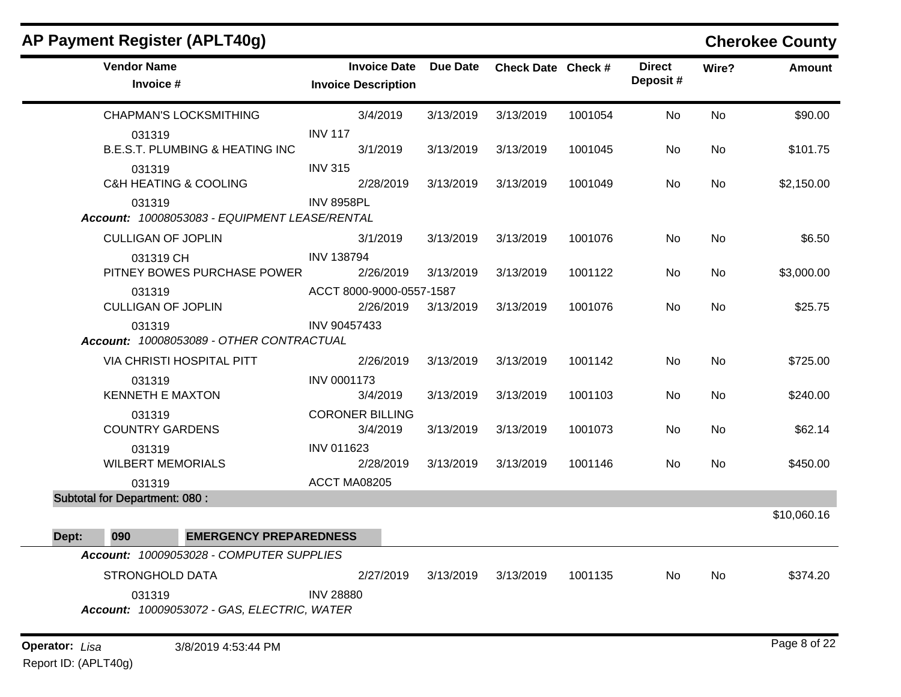| <b>AP Payment Register (APLT40g)</b>                    |                                                   |           |                    |         |                           |           | <b>Cherokee County</b> |
|---------------------------------------------------------|---------------------------------------------------|-----------|--------------------|---------|---------------------------|-----------|------------------------|
| <b>Vendor Name</b><br>Invoice #                         | <b>Invoice Date</b><br><b>Invoice Description</b> | Due Date  | Check Date Check # |         | <b>Direct</b><br>Deposit# | Wire?     | <b>Amount</b>          |
| <b>CHAPMAN'S LOCKSMITHING</b>                           | 3/4/2019                                          | 3/13/2019 | 3/13/2019          | 1001054 | No                        | No        | \$90.00                |
| 031319<br><b>B.E.S.T. PLUMBING &amp; HEATING INC</b>    | <b>INV 117</b><br>3/1/2019                        | 3/13/2019 | 3/13/2019          | 1001045 | No                        | No        | \$101.75               |
| 031319<br><b>C&amp;H HEATING &amp; COOLING</b>          | <b>INV 315</b><br>2/28/2019                       | 3/13/2019 | 3/13/2019          | 1001049 | No                        | No        | \$2,150.00             |
| 031319<br>Account: 10008053083 - EQUIPMENT LEASE/RENTAL | <b>INV 8958PL</b>                                 |           |                    |         |                           |           |                        |
| <b>CULLIGAN OF JOPLIN</b>                               | 3/1/2019                                          | 3/13/2019 | 3/13/2019          | 1001076 | No                        | No        | \$6.50                 |
| 031319 CH<br>PITNEY BOWES PURCHASE POWER                | <b>INV 138794</b><br>2/26/2019                    | 3/13/2019 | 3/13/2019          | 1001122 | No                        | No        | \$3,000.00             |
| 031319<br><b>CULLIGAN OF JOPLIN</b>                     | ACCT 8000-9000-0557-1587<br>2/26/2019             | 3/13/2019 | 3/13/2019          | 1001076 | No                        | No        | \$25.75                |
| 031319<br>Account: 10008053089 - OTHER CONTRACTUAL      | INV 90457433                                      |           |                    |         |                           |           |                        |
| VIA CHRISTI HOSPITAL PITT                               | 2/26/2019                                         | 3/13/2019 | 3/13/2019          | 1001142 | No                        | <b>No</b> | \$725.00               |
| 031319<br><b>KENNETH E MAXTON</b>                       | <b>INV 0001173</b><br>3/4/2019                    | 3/13/2019 | 3/13/2019          | 1001103 | No                        | No        | \$240.00               |
| 031319<br><b>COUNTRY GARDENS</b>                        | <b>CORONER BILLING</b><br>3/4/2019                | 3/13/2019 | 3/13/2019          | 1001073 | No                        | No        | \$62.14                |
| 031319<br><b>WILBERT MEMORIALS</b>                      | <b>INV 011623</b><br>2/28/2019                    | 3/13/2019 | 3/13/2019          | 1001146 | No                        | No        | \$450.00               |
| 031319                                                  | ACCT MA08205                                      |           |                    |         |                           |           |                        |
| <b>Subtotal for Department: 080:</b>                    |                                                   |           |                    |         |                           |           |                        |
|                                                         |                                                   |           |                    |         |                           |           | \$10,060.16            |
| Dept:<br>090<br><b>EMERGENCY PREPAREDNESS</b>           |                                                   |           |                    |         |                           |           |                        |
| Account: 10009053028 - COMPUTER SUPPLIES                |                                                   |           |                    |         |                           |           |                        |
| <b>STRONGHOLD DATA</b>                                  | 2/27/2019<br><b>INV 28880</b>                     | 3/13/2019 | 3/13/2019          | 1001135 | No                        | No        | \$374.20               |
| 031319<br>Account: 10009053072 - GAS, ELECTRIC, WATER   |                                                   |           |                    |         |                           |           |                        |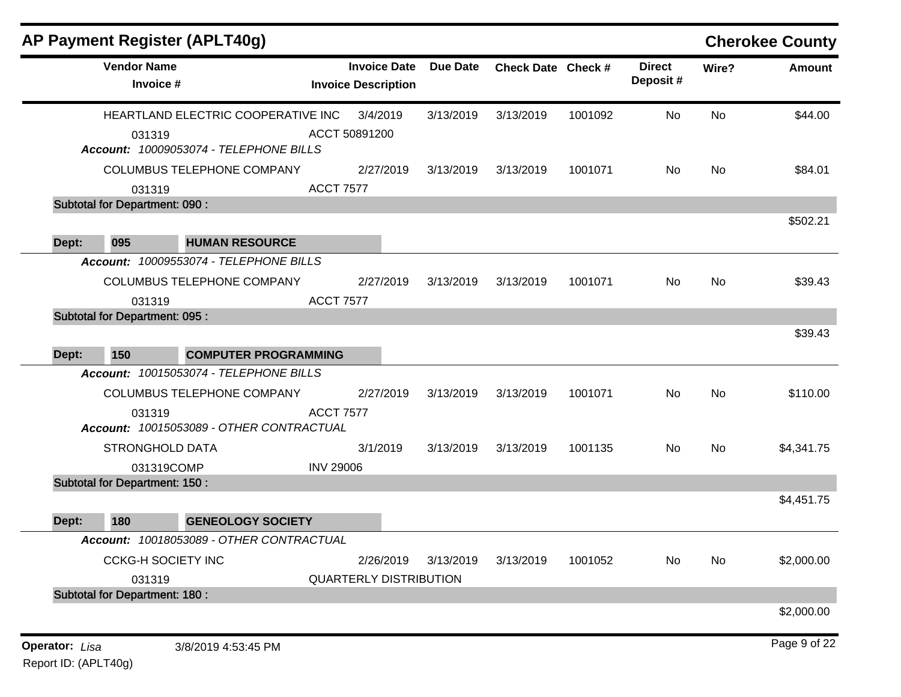|                                      | <b>AP Payment Register (APLT40g)</b>               |                                                   |                 |                    |         |                           |       | <b>Cherokee County</b> |
|--------------------------------------|----------------------------------------------------|---------------------------------------------------|-----------------|--------------------|---------|---------------------------|-------|------------------------|
|                                      | <b>Vendor Name</b><br>Invoice #                    | <b>Invoice Date</b><br><b>Invoice Description</b> | <b>Due Date</b> | Check Date Check # |         | <b>Direct</b><br>Deposit# | Wire? | Amount                 |
|                                      | HEARTLAND ELECTRIC COOPERATIVE INC                 | 3/4/2019                                          | 3/13/2019       | 3/13/2019          | 1001092 | No                        | No    | \$44.00                |
|                                      | 031319<br>Account: 10009053074 - TELEPHONE BILLS   | ACCT 50891200                                     |                 |                    |         |                           |       |                        |
|                                      | COLUMBUS TELEPHONE COMPANY                         | 2/27/2019                                         | 3/13/2019       | 3/13/2019          | 1001071 | No                        | No    | \$84.01                |
|                                      | 031319                                             | <b>ACCT 7577</b>                                  |                 |                    |         |                           |       |                        |
| <b>Subtotal for Department: 090:</b> |                                                    |                                                   |                 |                    |         |                           |       |                        |
| 095<br>Dept:                         | <b>HUMAN RESOURCE</b>                              |                                                   |                 |                    |         |                           |       | \$502.21               |
|                                      | Account: 10009553074 - TELEPHONE BILLS             |                                                   |                 |                    |         |                           |       |                        |
|                                      | COLUMBUS TELEPHONE COMPANY                         | 2/27/2019                                         | 3/13/2019       | 3/13/2019          | 1001071 | No                        | No    | \$39.43                |
|                                      | 031319                                             | <b>ACCT 7577</b>                                  |                 |                    |         |                           |       |                        |
| <b>Subtotal for Department: 095:</b> |                                                    |                                                   |                 |                    |         |                           |       |                        |
|                                      |                                                    |                                                   |                 |                    |         |                           |       | \$39.43                |
| 150<br>Dept:                         | <b>COMPUTER PROGRAMMING</b>                        |                                                   |                 |                    |         |                           |       |                        |
|                                      | Account: 10015053074 - TELEPHONE BILLS             |                                                   |                 |                    |         |                           |       |                        |
|                                      | COLUMBUS TELEPHONE COMPANY                         | 2/27/2019                                         | 3/13/2019       | 3/13/2019          | 1001071 | No.                       | No    | \$110.00               |
|                                      | 031319<br>Account: 10015053089 - OTHER CONTRACTUAL | <b>ACCT 7577</b>                                  |                 |                    |         |                           |       |                        |
|                                      | <b>STRONGHOLD DATA</b>                             | 3/1/2019                                          | 3/13/2019       | 3/13/2019          | 1001135 | No.                       | No    | \$4,341.75             |
|                                      | 031319COMP                                         | <b>INV 29006</b>                                  |                 |                    |         |                           |       |                        |
| <b>Subtotal for Department: 150:</b> |                                                    |                                                   |                 |                    |         |                           |       |                        |
|                                      |                                                    |                                                   |                 |                    |         |                           |       | \$4,451.75             |
| 180<br>Dept:                         | <b>GENEOLOGY SOCIETY</b>                           |                                                   |                 |                    |         |                           |       |                        |
|                                      | Account: 10018053089 - OTHER CONTRACTUAL           |                                                   |                 |                    |         |                           |       |                        |
|                                      | <b>CCKG-H SOCIETY INC</b>                          | 2/26/2019                                         | 3/13/2019       | 3/13/2019          | 1001052 | No                        | No    | \$2,000.00             |
|                                      | 031319                                             | <b>QUARTERLY DISTRIBUTION</b>                     |                 |                    |         |                           |       |                        |
| <b>Subtotal for Department: 180:</b> |                                                    |                                                   |                 |                    |         |                           |       |                        |
|                                      |                                                    |                                                   |                 |                    |         |                           |       | \$2,000.00             |
| <b>Operator: Lisa</b>                | 3/8/2019 4:53:45 PM                                |                                                   |                 |                    |         |                           |       | Page 9 of 22           |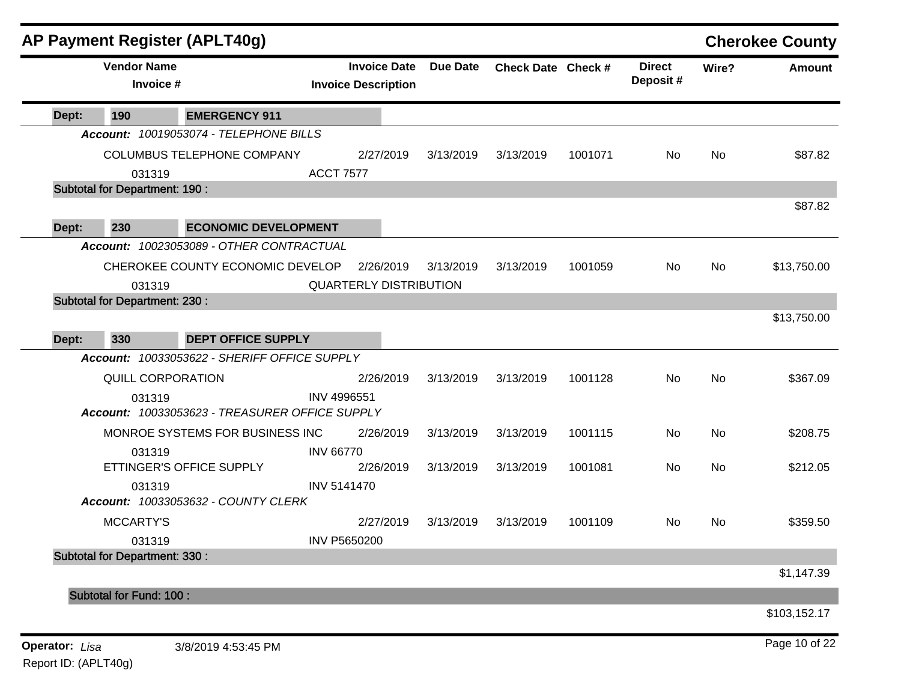| AP Payment Register (APLT40g)                            |                                                   |           |                    |         |                           |       | <b>Cherokee County</b> |
|----------------------------------------------------------|---------------------------------------------------|-----------|--------------------|---------|---------------------------|-------|------------------------|
| <b>Vendor Name</b><br>Invoice #                          | <b>Invoice Date</b><br><b>Invoice Description</b> | Due Date  | Check Date Check # |         | <b>Direct</b><br>Deposit# | Wire? | Amount                 |
| <b>EMERGENCY 911</b><br>Dept:<br>190                     |                                                   |           |                    |         |                           |       |                        |
| Account: 10019053074 - TELEPHONE BILLS                   |                                                   |           |                    |         |                           |       |                        |
| COLUMBUS TELEPHONE COMPANY                               | 2/27/2019                                         | 3/13/2019 | 3/13/2019          | 1001071 | No                        | No    | \$87.82                |
| 031319                                                   | <b>ACCT 7577</b>                                  |           |                    |         |                           |       |                        |
| <b>Subtotal for Department: 190:</b>                     |                                                   |           |                    |         |                           |       |                        |
|                                                          |                                                   |           |                    |         |                           |       | \$87.82                |
| 230<br><b>ECONOMIC DEVELOPMENT</b><br>Dept:              |                                                   |           |                    |         |                           |       |                        |
| Account: 10023053089 - OTHER CONTRACTUAL                 |                                                   |           |                    |         |                           |       |                        |
| CHEROKEE COUNTY ECONOMIC DEVELOP                         | 2/26/2019                                         | 3/13/2019 | 3/13/2019          | 1001059 | No                        | No    | \$13,750.00            |
| 031319                                                   | <b>QUARTERLY DISTRIBUTION</b>                     |           |                    |         |                           |       |                        |
| <b>Subtotal for Department: 230:</b>                     |                                                   |           |                    |         |                           |       |                        |
|                                                          |                                                   |           |                    |         |                           |       | \$13,750.00            |
| 330<br><b>DEPT OFFICE SUPPLY</b><br>Dept:                |                                                   |           |                    |         |                           |       |                        |
| Account: 10033053622 - SHERIFF OFFICE SUPPLY             |                                                   |           |                    |         |                           |       |                        |
| QUILL CORPORATION                                        | 2/26/2019                                         | 3/13/2019 | 3/13/2019          | 1001128 | No                        | No    | \$367.09               |
| 031319<br>Account: 10033053623 - TREASURER OFFICE SUPPLY | <b>INV 4996551</b>                                |           |                    |         |                           |       |                        |
| MONROE SYSTEMS FOR BUSINESS INC                          | 2/26/2019                                         | 3/13/2019 | 3/13/2019          | 1001115 | No                        | No    | \$208.75               |
| 031319                                                   | <b>INV 66770</b>                                  |           |                    |         |                           |       |                        |
| ETTINGER'S OFFICE SUPPLY                                 | 2/26/2019                                         | 3/13/2019 | 3/13/2019          | 1001081 | No                        | No    | \$212.05               |
| 031319<br>Account: 10033053632 - COUNTY CLERK            | <b>INV 5141470</b>                                |           |                    |         |                           |       |                        |
| <b>MCCARTY'S</b>                                         | 2/27/2019                                         | 3/13/2019 | 3/13/2019          | 1001109 | No                        | No    | \$359.50               |
| 031319                                                   | INV P5650200                                      |           |                    |         |                           |       |                        |
| <b>Subtotal for Department: 330:</b>                     |                                                   |           |                    |         |                           |       |                        |
|                                                          |                                                   |           |                    |         |                           |       | \$1,147.39             |
| Subtotal for Fund: 100 :                                 |                                                   |           |                    |         |                           |       |                        |
|                                                          |                                                   |           |                    |         |                           |       | \$103,152.17           |
| Operator: Lisa<br>3/8/2019 4:53:45 PM                    |                                                   |           |                    |         |                           |       | Page 10 of 22          |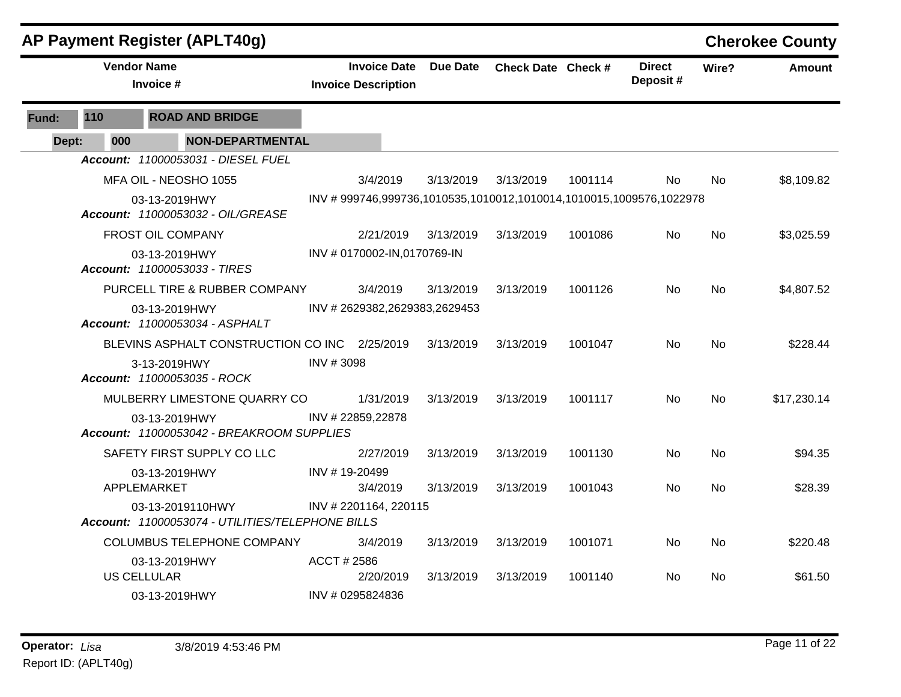|       |     | <b>AP Payment Register (APLT40g)</b>                                 |                  |                                                   |                              |                                                                    |         |                           |           | <b>Cherokee County</b> |
|-------|-----|----------------------------------------------------------------------|------------------|---------------------------------------------------|------------------------------|--------------------------------------------------------------------|---------|---------------------------|-----------|------------------------|
|       |     | <b>Vendor Name</b><br>Invoice #                                      |                  | <b>Invoice Date</b><br><b>Invoice Description</b> | <b>Due Date</b>              | Check Date Check #                                                 |         | <b>Direct</b><br>Deposit# | Wire?     | <b>Amount</b>          |
| Fund: | 110 | <b>ROAD AND BRIDGE</b>                                               |                  |                                                   |                              |                                                                    |         |                           |           |                        |
| Dept: | 000 | <b>NON-DEPARTMENTAL</b>                                              |                  |                                                   |                              |                                                                    |         |                           |           |                        |
|       |     | Account: 11000053031 - DIESEL FUEL                                   |                  |                                                   |                              |                                                                    |         |                           |           |                        |
|       |     | MFA OIL - NEOSHO 1055                                                |                  | 3/4/2019                                          | 3/13/2019                    | 3/13/2019                                                          | 1001114 | No.                       | <b>No</b> | \$8,109.82             |
|       |     | 03-13-2019HWY<br><b>Account: 11000053032 - OIL/GREASE</b>            |                  |                                                   |                              | INV #999746,999736,1010535,1010012,1010014,1010015,1009576,1022978 |         |                           |           |                        |
|       |     | <b>FROST OIL COMPANY</b>                                             |                  | 2/21/2019                                         | 3/13/2019                    | 3/13/2019                                                          | 1001086 | <b>No</b>                 | No        | \$3,025.59             |
|       |     | 03-13-2019HWY<br>Account: 11000053033 - TIRES                        |                  | INV # 0170002-IN,0170769-IN                       |                              |                                                                    |         |                           |           |                        |
|       |     | PURCELL TIRE & RUBBER COMPANY                                        |                  | 3/4/2019                                          | 3/13/2019                    | 3/13/2019                                                          | 1001126 | No                        | No        | \$4,807.52             |
|       |     | 03-13-2019HWY<br><b>Account: 11000053034 - ASPHALT</b>               |                  |                                                   | INV #2629382,2629383,2629453 |                                                                    |         |                           |           |                        |
|       |     | BLEVINS ASPHALT CONSTRUCTION CO INC 2/25/2019                        |                  |                                                   | 3/13/2019                    | 3/13/2019                                                          | 1001047 | No.                       | <b>No</b> | \$228.44               |
|       |     | 3-13-2019HWY<br>Account: 11000053035 - ROCK                          | INV #3098        |                                                   |                              |                                                                    |         |                           |           |                        |
|       |     | MULBERRY LIMESTONE QUARRY CO                                         |                  | 1/31/2019                                         | 3/13/2019                    | 3/13/2019                                                          | 1001117 | No.                       | <b>No</b> | \$17,230.14            |
|       |     | 03-13-2019HWY<br>Account: 11000053042 - BREAKROOM SUPPLIES           | INV #22859,22878 |                                                   |                              |                                                                    |         |                           |           |                        |
|       |     | SAFETY FIRST SUPPLY CO LLC                                           |                  | 2/27/2019                                         | 3/13/2019                    | 3/13/2019                                                          | 1001130 | No.                       | No        | \$94.35                |
|       |     | 03-13-2019HWY<br>APPLEMARKET                                         | INV #19-20499    | 3/4/2019                                          | 3/13/2019                    | 3/13/2019                                                          | 1001043 | No.                       | <b>No</b> | \$28.39                |
|       |     | 03-13-2019110HWY<br>Account: 11000053074 - UTILITIES/TELEPHONE BILLS |                  | INV # 2201164, 220115                             |                              |                                                                    |         |                           |           |                        |
|       |     | <b>COLUMBUS TELEPHONE COMPANY</b>                                    |                  | 3/4/2019                                          | 3/13/2019                    | 3/13/2019                                                          | 1001071 | <b>No</b>                 | No        | \$220.48               |
|       |     | 03-13-2019HWY<br><b>US CELLULAR</b>                                  | ACCT#2586        | 2/20/2019                                         | 3/13/2019                    | 3/13/2019                                                          | 1001140 | No.                       | No        | \$61.50                |
|       |     | 03-13-2019HWY                                                        | INV # 0295824836 |                                                   |                              |                                                                    |         |                           |           |                        |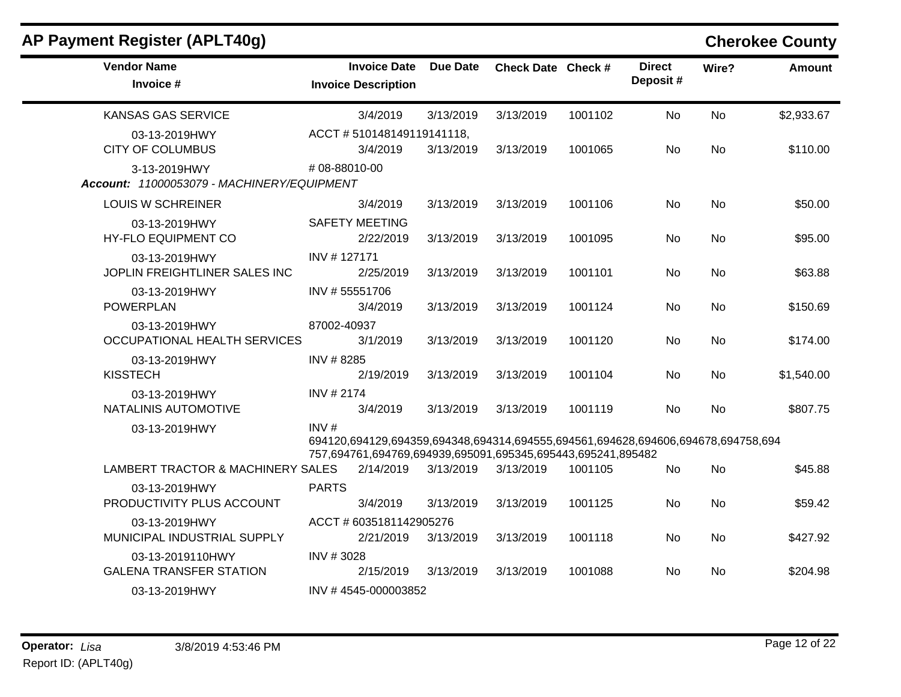| <b>AP Payment Register (APLT40g)</b>                       |                                                                                                                                                         |                 |                    |         |                           |           | <b>Cherokee County</b> |
|------------------------------------------------------------|---------------------------------------------------------------------------------------------------------------------------------------------------------|-----------------|--------------------|---------|---------------------------|-----------|------------------------|
| <b>Vendor Name</b><br>Invoice #                            | <b>Invoice Date</b><br><b>Invoice Description</b>                                                                                                       | <b>Due Date</b> | Check Date Check # |         | <b>Direct</b><br>Deposit# | Wire?     | <b>Amount</b>          |
| <b>KANSAS GAS SERVICE</b>                                  | 3/4/2019                                                                                                                                                | 3/13/2019       | 3/13/2019          | 1001102 | No                        | <b>No</b> | \$2,933.67             |
| 03-13-2019HWY<br><b>CITY OF COLUMBUS</b>                   | ACCT #510148149119141118,<br>3/4/2019                                                                                                                   | 3/13/2019       | 3/13/2019          | 1001065 | No.                       | No        | \$110.00               |
| 3-13-2019HWY<br>Account: 11000053079 - MACHINERY/EQUIPMENT | #08-88010-00                                                                                                                                            |                 |                    |         |                           |           |                        |
| <b>LOUIS W SCHREINER</b>                                   | 3/4/2019                                                                                                                                                | 3/13/2019       | 3/13/2019          | 1001106 | <b>No</b>                 | No        | \$50.00                |
| 03-13-2019HWY<br>HY-FLO EQUIPMENT CO                       | <b>SAFETY MEETING</b><br>2/22/2019                                                                                                                      | 3/13/2019       | 3/13/2019          | 1001095 | No.                       | <b>No</b> | \$95.00                |
| 03-13-2019HWY<br>JOPLIN FREIGHTLINER SALES INC             | INV #127171<br>2/25/2019                                                                                                                                | 3/13/2019       | 3/13/2019          | 1001101 | <b>No</b>                 | <b>No</b> | \$63.88                |
| 03-13-2019HWY<br><b>POWERPLAN</b>                          | INV #55551706<br>3/4/2019                                                                                                                               | 3/13/2019       | 3/13/2019          | 1001124 | No                        | No.       | \$150.69               |
| 03-13-2019HWY<br>OCCUPATIONAL HEALTH SERVICES              | 87002-40937<br>3/1/2019                                                                                                                                 | 3/13/2019       | 3/13/2019          | 1001120 | No                        | <b>No</b> | \$174.00               |
| 03-13-2019HWY<br><b>KISSTECH</b>                           | INV #8285<br>2/19/2019                                                                                                                                  | 3/13/2019       | 3/13/2019          | 1001104 | No.                       | No.       | \$1,540.00             |
| 03-13-2019HWY<br>NATALINIS AUTOMOTIVE                      | <b>INV #2174</b><br>3/4/2019                                                                                                                            | 3/13/2019       | 3/13/2019          | 1001119 | No.                       | No.       | \$807.75               |
| 03-13-2019HWY                                              | INV#<br>694120,694129,694359,694348,694314,694555,694561,694628,694606,694678,694758,694<br>757,694761,694769,694939,695091,695345,695443,695241,895482 |                 |                    |         |                           |           |                        |
| LAMBERT TRACTOR & MACHINERY SALES                          | 2/14/2019                                                                                                                                               | 3/13/2019       | 3/13/2019          | 1001105 | <b>No</b>                 | <b>No</b> | \$45.88                |
| 03-13-2019HWY<br>PRODUCTIVITY PLUS ACCOUNT                 | <b>PARTS</b><br>3/4/2019                                                                                                                                | 3/13/2019       | 3/13/2019          | 1001125 | No                        | No        | \$59.42                |
| 03-13-2019HWY<br>MUNICIPAL INDUSTRIAL SUPPLY               | ACCT # 6035181142905276<br>2/21/2019                                                                                                                    | 3/13/2019       | 3/13/2019          | 1001118 | No                        | No        | \$427.92               |
| 03-13-2019110HWY<br><b>GALENA TRANSFER STATION</b>         | INV #3028<br>2/15/2019                                                                                                                                  | 3/13/2019       | 3/13/2019          | 1001088 | No.                       | No        | \$204.98               |
| 03-13-2019HWY                                              | INV #4545-000003852                                                                                                                                     |                 |                    |         |                           |           |                        |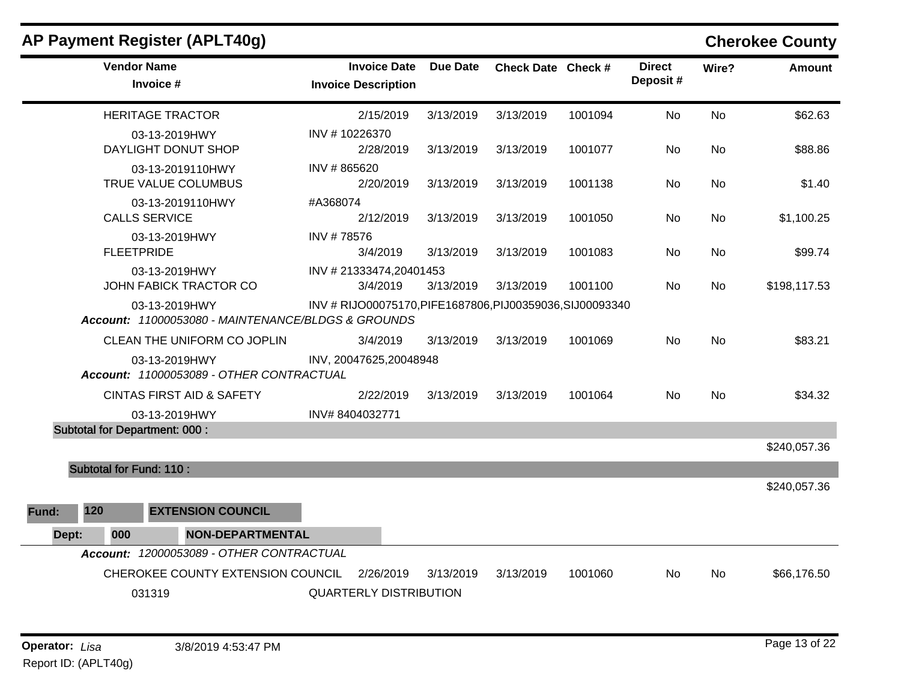|       |                                | <b>AP Payment Register (APLT40g)</b>                                |                                                           |           |                    |         |                           |           | <b>Cherokee County</b> |
|-------|--------------------------------|---------------------------------------------------------------------|-----------------------------------------------------------|-----------|--------------------|---------|---------------------------|-----------|------------------------|
|       | <b>Vendor Name</b>             | Invoice #                                                           | <b>Invoice Date</b><br><b>Invoice Description</b>         | Due Date  | Check Date Check # |         | <b>Direct</b><br>Deposit# | Wire?     | <b>Amount</b>          |
|       |                                | <b>HERITAGE TRACTOR</b>                                             | 2/15/2019                                                 | 3/13/2019 | 3/13/2019          | 1001094 | No                        | <b>No</b> | \$62.63                |
|       |                                | 03-13-2019HWY<br>DAYLIGHT DONUT SHOP                                | INV #10226370<br>2/28/2019                                | 3/13/2019 | 3/13/2019          | 1001077 | No.                       | No        | \$88.86                |
|       |                                | 03-13-2019110HWY<br>TRUE VALUE COLUMBUS                             | INV #865620<br>2/20/2019                                  | 3/13/2019 | 3/13/2019          | 1001138 | No                        | No        | \$1.40                 |
|       |                                | 03-13-2019110HWY<br><b>CALLS SERVICE</b>                            | #A368074<br>2/12/2019                                     | 3/13/2019 | 3/13/2019          | 1001050 | No                        | <b>No</b> | \$1,100.25             |
|       | <b>FLEETPRIDE</b>              | 03-13-2019HWY                                                       | INV #78576<br>3/4/2019                                    | 3/13/2019 | 3/13/2019          | 1001083 | No.                       | No        | \$99.74                |
|       |                                | 03-13-2019HWY<br>JOHN FABICK TRACTOR CO                             | INV #21333474,20401453<br>3/4/2019                        | 3/13/2019 | 3/13/2019          | 1001100 | No.                       | No.       | \$198,117.53           |
|       |                                | 03-13-2019HWY<br>Account: 11000053080 - MAINTENANCE/BLDGS & GROUNDS | INV # RIJO00075170, PIFE1687806, PIJ00359036, SIJ00093340 |           |                    |         |                           |           |                        |
|       |                                | CLEAN THE UNIFORM CO JOPLIN                                         | 3/4/2019                                                  | 3/13/2019 | 3/13/2019          | 1001069 | No                        | <b>No</b> | \$83.21                |
|       |                                | 03-13-2019HWY<br>Account: 11000053089 - OTHER CONTRACTUAL           | INV, 20047625, 20048948                                   |           |                    |         |                           |           |                        |
|       |                                | <b>CINTAS FIRST AID &amp; SAFETY</b>                                | 2/22/2019                                                 | 3/13/2019 | 3/13/2019          | 1001064 | No.                       | No.       | \$34.32                |
|       |                                | 03-13-2019HWY                                                       | INV#8404032771                                            |           |                    |         |                           |           |                        |
|       |                                | <b>Subtotal for Department: 000:</b>                                |                                                           |           |                    |         |                           |           | \$240,057.36           |
|       | <b>Subtotal for Fund: 110:</b> |                                                                     |                                                           |           |                    |         |                           |           |                        |
|       |                                |                                                                     |                                                           |           |                    |         |                           |           | \$240,057.36           |
| Fund: | 120                            | <b>EXTENSION COUNCIL</b>                                            |                                                           |           |                    |         |                           |           |                        |
| Dept: | 000                            | <b>NON-DEPARTMENTAL</b>                                             |                                                           |           |                    |         |                           |           |                        |
|       |                                | Account: 12000053089 - OTHER CONTRACTUAL                            |                                                           |           |                    |         |                           |           |                        |
|       |                                | CHEROKEE COUNTY EXTENSION COUNCIL                                   | 2/26/2019                                                 | 3/13/2019 | 3/13/2019          | 1001060 | No.                       | No.       | \$66,176.50            |
|       |                                | 031319                                                              | <b>QUARTERLY DISTRIBUTION</b>                             |           |                    |         |                           |           |                        |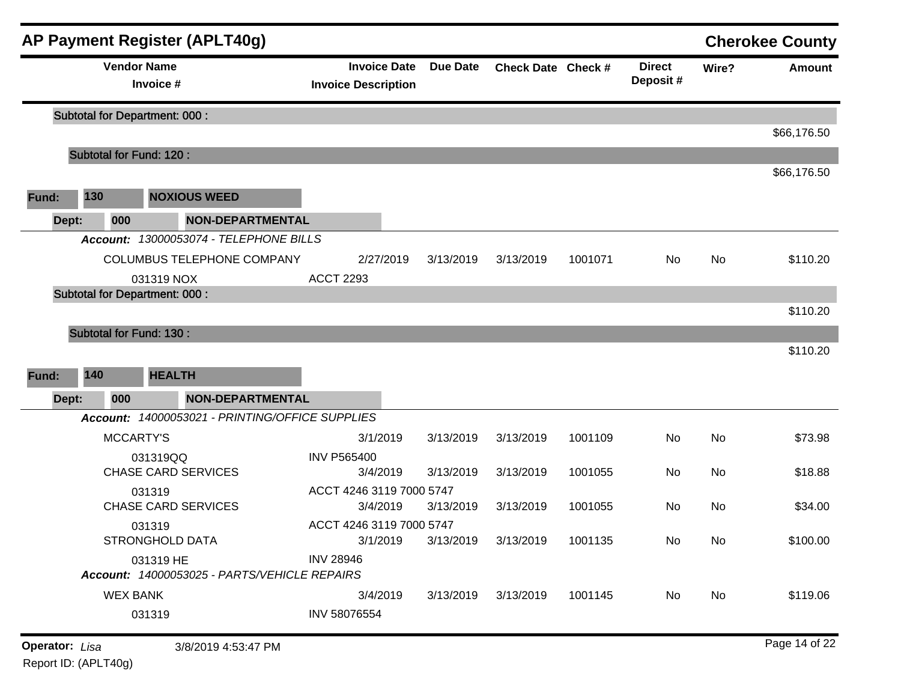|                       |       |                    | <b>AP Payment Register (APLT40g)</b>                              |                                                   |           |                    |         |                           |           | <b>Cherokee County</b> |
|-----------------------|-------|--------------------|-------------------------------------------------------------------|---------------------------------------------------|-----------|--------------------|---------|---------------------------|-----------|------------------------|
|                       |       | <b>Vendor Name</b> | Invoice #                                                         | <b>Invoice Date</b><br><b>Invoice Description</b> | Due Date  | Check Date Check # |         | <b>Direct</b><br>Deposit# | Wire?     | <b>Amount</b>          |
|                       |       |                    | <b>Subtotal for Department: 000:</b>                              |                                                   |           |                    |         |                           |           | \$66,176.50            |
|                       |       |                    | <b>Subtotal for Fund: 120:</b>                                    |                                                   |           |                    |         |                           |           |                        |
|                       |       |                    |                                                                   |                                                   |           |                    |         |                           |           | \$66,176.50            |
| Fund:                 | 130   |                    | <b>NOXIOUS WEED</b>                                               |                                                   |           |                    |         |                           |           |                        |
|                       | Dept: | 000                | <b>NON-DEPARTMENTAL</b><br>Account: 13000053074 - TELEPHONE BILLS |                                                   |           |                    |         |                           |           |                        |
|                       |       |                    |                                                                   |                                                   |           |                    |         |                           |           |                        |
|                       |       |                    | COLUMBUS TELEPHONE COMPANY                                        | 2/27/2019<br><b>ACCT 2293</b>                     | 3/13/2019 | 3/13/2019          | 1001071 | No                        | <b>No</b> | \$110.20               |
|                       |       |                    | 031319 NOX<br><b>Subtotal for Department: 000:</b>                |                                                   |           |                    |         |                           |           |                        |
|                       |       |                    |                                                                   |                                                   |           |                    |         |                           |           | \$110.20               |
|                       |       |                    | Subtotal for Fund: 130 :                                          |                                                   |           |                    |         |                           |           |                        |
|                       |       |                    |                                                                   |                                                   |           |                    |         |                           |           | \$110.20               |
| Fund:                 | 140   |                    | <b>HEALTH</b>                                                     |                                                   |           |                    |         |                           |           |                        |
|                       | Dept: | 000                | <b>NON-DEPARTMENTAL</b>                                           |                                                   |           |                    |         |                           |           |                        |
|                       |       |                    | Account: 14000053021 - PRINTING/OFFICE SUPPLIES                   |                                                   |           |                    |         |                           |           |                        |
|                       |       | <b>MCCARTY'S</b>   |                                                                   | 3/1/2019                                          | 3/13/2019 | 3/13/2019          | 1001109 | No                        | <b>No</b> | \$73.98                |
|                       |       |                    | 031319QQ                                                          | <b>INV P565400</b>                                |           |                    |         |                           |           |                        |
|                       |       |                    | <b>CHASE CARD SERVICES</b>                                        | 3/4/2019                                          | 3/13/2019 | 3/13/2019          | 1001055 | No                        | No        | \$18.88                |
|                       |       |                    | 031319                                                            | ACCT 4246 3119 7000 5747                          |           |                    |         |                           |           |                        |
|                       |       |                    | <b>CHASE CARD SERVICES</b>                                        | 3/4/2019                                          | 3/13/2019 | 3/13/2019          | 1001055 | No                        | No        | \$34.00                |
|                       |       |                    | 031319                                                            | ACCT 4246 3119 7000 5747                          |           |                    |         |                           |           |                        |
|                       |       |                    | <b>STRONGHOLD DATA</b>                                            | 3/1/2019                                          | 3/13/2019 | 3/13/2019          | 1001135 | No                        | No        | \$100.00               |
|                       |       |                    | 031319 HE<br>Account: 14000053025 - PARTS/VEHICLE REPAIRS         | <b>INV 28946</b>                                  |           |                    |         |                           |           |                        |
|                       |       | <b>WEX BANK</b>    |                                                                   | 3/4/2019                                          | 3/13/2019 | 3/13/2019          | 1001145 | No                        | No        | \$119.06               |
|                       |       |                    | 031319                                                            | INV 58076554                                      |           |                    |         |                           |           |                        |
|                       |       |                    |                                                                   |                                                   |           |                    |         |                           |           |                        |
| <b>Operator:</b> Lisa |       |                    | 3/8/2019 4:53:47 PM                                               |                                                   |           |                    |         |                           |           | Page 14 of 22          |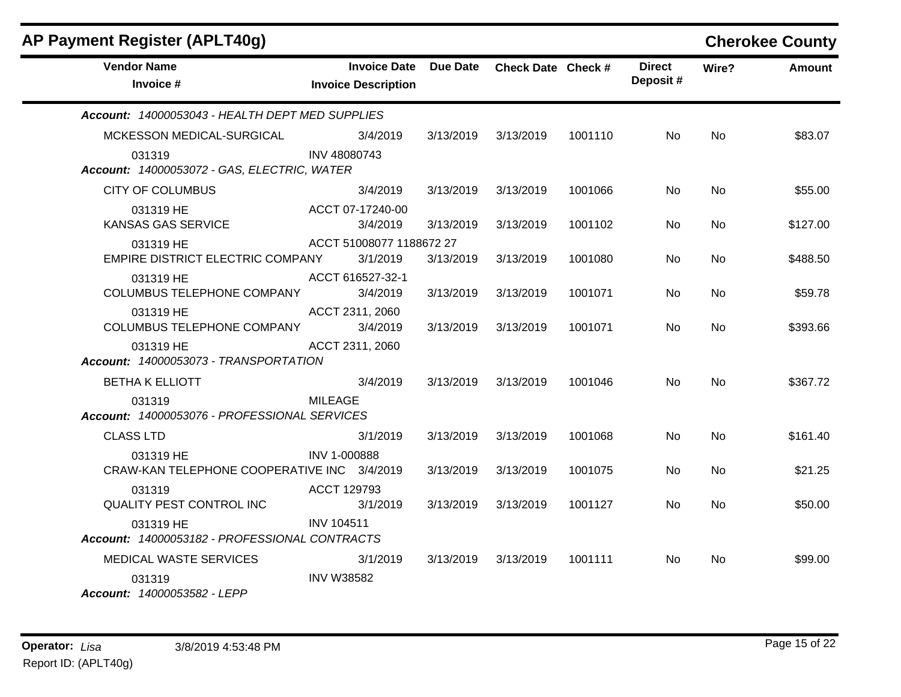| <b>AP Payment Register (APLT40g)</b>                       |                   |                                                   |           |                           |         |                           |           | <b>Cherokee County</b> |
|------------------------------------------------------------|-------------------|---------------------------------------------------|-----------|---------------------------|---------|---------------------------|-----------|------------------------|
| <b>Vendor Name</b><br>Invoice #                            |                   | <b>Invoice Date</b><br><b>Invoice Description</b> | Due Date  | <b>Check Date Check #</b> |         | <b>Direct</b><br>Deposit# | Wire?     | <b>Amount</b>          |
| Account: 14000053043 - HEALTH DEPT MED SUPPLIES            |                   |                                                   |           |                           |         |                           |           |                        |
| MCKESSON MEDICAL-SURGICAL                                  |                   | 3/4/2019                                          | 3/13/2019 | 3/13/2019                 | 1001110 | No.                       | No.       | \$83.07                |
| 031319<br>Account: 14000053072 - GAS, ELECTRIC, WATER      | INV 48080743      |                                                   |           |                           |         |                           |           |                        |
| <b>CITY OF COLUMBUS</b>                                    |                   | 3/4/2019                                          | 3/13/2019 | 3/13/2019                 | 1001066 | <b>No</b>                 | <b>No</b> | \$55.00                |
| 031319 HE<br>KANSAS GAS SERVICE                            | ACCT 07-17240-00  | 3/4/2019                                          | 3/13/2019 | 3/13/2019                 | 1001102 | No.                       | <b>No</b> | \$127.00               |
| 031319 HE<br>EMPIRE DISTRICT ELECTRIC COMPANY              |                   | ACCT 51008077 1188672 27<br>3/1/2019              | 3/13/2019 | 3/13/2019                 | 1001080 | <b>No</b>                 | <b>No</b> | \$488.50               |
| 031319 HE<br><b>COLUMBUS TELEPHONE COMPANY</b>             | ACCT 616527-32-1  | 3/4/2019                                          | 3/13/2019 | 3/13/2019                 | 1001071 | <b>No</b>                 | <b>No</b> | \$59.78                |
| 031319 HE<br>COLUMBUS TELEPHONE COMPANY                    | ACCT 2311, 2060   | 3/4/2019                                          | 3/13/2019 | 3/13/2019                 | 1001071 | No                        | No.       | \$393.66               |
| 031319 HE<br>Account: 14000053073 - TRANSPORTATION         | ACCT 2311, 2060   |                                                   |           |                           |         |                           |           |                        |
| <b>BETHA K ELLIOTT</b>                                     |                   | 3/4/2019                                          | 3/13/2019 | 3/13/2019                 | 1001046 | N <sub>o</sub>            | <b>No</b> | \$367.72               |
| 031319<br>Account: 14000053076 - PROFESSIONAL SERVICES     | <b>MILEAGE</b>    |                                                   |           |                           |         |                           |           |                        |
| <b>CLASS LTD</b>                                           |                   | 3/1/2019                                          | 3/13/2019 | 3/13/2019                 | 1001068 | No.                       | No.       | \$161.40               |
| 031319 HE<br>CRAW-KAN TELEPHONE COOPERATIVE INC 3/4/2019   | INV 1-000888      |                                                   | 3/13/2019 | 3/13/2019                 | 1001075 | No.                       | No.       | \$21.25                |
| 031319<br>QUALITY PEST CONTROL INC                         | ACCT 129793       | 3/1/2019                                          | 3/13/2019 | 3/13/2019                 | 1001127 | <b>No</b>                 | <b>No</b> | \$50.00                |
| 031319 HE<br>Account: 14000053182 - PROFESSIONAL CONTRACTS | <b>INV 104511</b> |                                                   |           |                           |         |                           |           |                        |
| MEDICAL WASTE SERVICES                                     |                   | 3/1/2019                                          | 3/13/2019 | 3/13/2019                 | 1001111 | No.                       | No.       | \$99.00                |
| 031319<br>Account: 14000053582 - LEPP                      | <b>INV W38582</b> |                                                   |           |                           |         |                           |           |                        |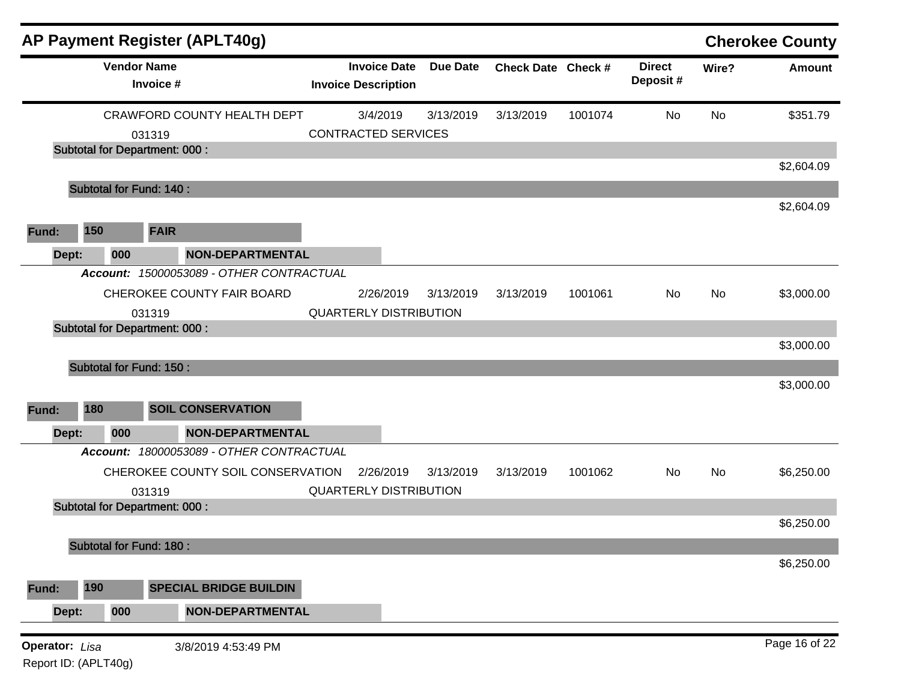|                |                                      |                                 | <b>AP Payment Register (APLT40g)</b>     |                                                   |                 |                    |         |                           |       | <b>Cherokee County</b> |
|----------------|--------------------------------------|---------------------------------|------------------------------------------|---------------------------------------------------|-----------------|--------------------|---------|---------------------------|-------|------------------------|
|                |                                      | <b>Vendor Name</b><br>Invoice # |                                          | <b>Invoice Date</b><br><b>Invoice Description</b> | <b>Due Date</b> | Check Date Check # |         | <b>Direct</b><br>Deposit# | Wire? | <b>Amount</b>          |
|                |                                      |                                 | <b>CRAWFORD COUNTY HEALTH DEPT</b>       | 3/4/2019                                          | 3/13/2019       | 3/13/2019          | 1001074 | No                        | No    | \$351.79               |
|                |                                      | 031319                          |                                          | <b>CONTRACTED SERVICES</b>                        |                 |                    |         |                           |       |                        |
|                | <b>Subtotal for Department: 000:</b> |                                 |                                          |                                                   |                 |                    |         |                           |       |                        |
|                |                                      |                                 |                                          |                                                   |                 |                    |         |                           |       | \$2,604.09             |
|                | <b>Subtotal for Fund: 140:</b>       |                                 |                                          |                                                   |                 |                    |         |                           |       |                        |
|                |                                      |                                 |                                          |                                                   |                 |                    |         |                           |       | \$2,604.09             |
| Fund:          | 150                                  | <b>FAIR</b>                     |                                          |                                                   |                 |                    |         |                           |       |                        |
| Dept:          | 000                                  |                                 | <b>NON-DEPARTMENTAL</b>                  |                                                   |                 |                    |         |                           |       |                        |
|                |                                      |                                 | Account: 15000053089 - OTHER CONTRACTUAL |                                                   |                 |                    |         |                           |       |                        |
|                |                                      |                                 | CHEROKEE COUNTY FAIR BOARD               | 2/26/2019                                         | 3/13/2019       | 3/13/2019          | 1001061 | No                        | No    | \$3,000.00             |
|                |                                      |                                 |                                          | <b>QUARTERLY DISTRIBUTION</b>                     |                 |                    |         |                           |       |                        |
|                | <b>Subtotal for Department: 000:</b> | 031319                          |                                          |                                                   |                 |                    |         |                           |       |                        |
|                |                                      |                                 |                                          |                                                   |                 |                    |         |                           |       | \$3,000.00             |
|                | Subtotal for Fund: 150 :             |                                 |                                          |                                                   |                 |                    |         |                           |       |                        |
|                |                                      |                                 |                                          |                                                   |                 |                    |         |                           |       | \$3,000.00             |
| Fund:          | 180                                  |                                 | <b>SOIL CONSERVATION</b>                 |                                                   |                 |                    |         |                           |       |                        |
|                |                                      |                                 |                                          |                                                   |                 |                    |         |                           |       |                        |
| Dept:          | 000                                  |                                 | <b>NON-DEPARTMENTAL</b>                  |                                                   |                 |                    |         |                           |       |                        |
|                |                                      |                                 | Account: 18000053089 - OTHER CONTRACTUAL |                                                   |                 |                    |         |                           |       |                        |
|                |                                      |                                 | CHEROKEE COUNTY SOIL CONSERVATION        | 2/26/2019                                         | 3/13/2019       | 3/13/2019          | 1001062 | No                        | No    | \$6,250.00             |
|                |                                      | 031319                          |                                          | <b>QUARTERLY DISTRIBUTION</b>                     |                 |                    |         |                           |       |                        |
|                | <b>Subtotal for Department: 000:</b> |                                 |                                          |                                                   |                 |                    |         |                           |       |                        |
|                |                                      |                                 |                                          |                                                   |                 |                    |         |                           |       | \$6,250.00             |
|                | <b>Subtotal for Fund: 180:</b>       |                                 |                                          |                                                   |                 |                    |         |                           |       |                        |
|                |                                      |                                 |                                          |                                                   |                 |                    |         |                           |       | \$6,250.00             |
| Fund:          | 190                                  |                                 | <b>SPECIAL BRIDGE BUILDIN</b>            |                                                   |                 |                    |         |                           |       |                        |
| Dept:          | 000                                  |                                 | <b>NON-DEPARTMENTAL</b>                  |                                                   |                 |                    |         |                           |       |                        |
| Operator: Lisa |                                      |                                 | 3/8/2019 4:53:49 PM                      |                                                   |                 |                    |         |                           |       | Page 16 of 22          |
|                | Report ID: (APLT40g)                 |                                 |                                          |                                                   |                 |                    |         |                           |       |                        |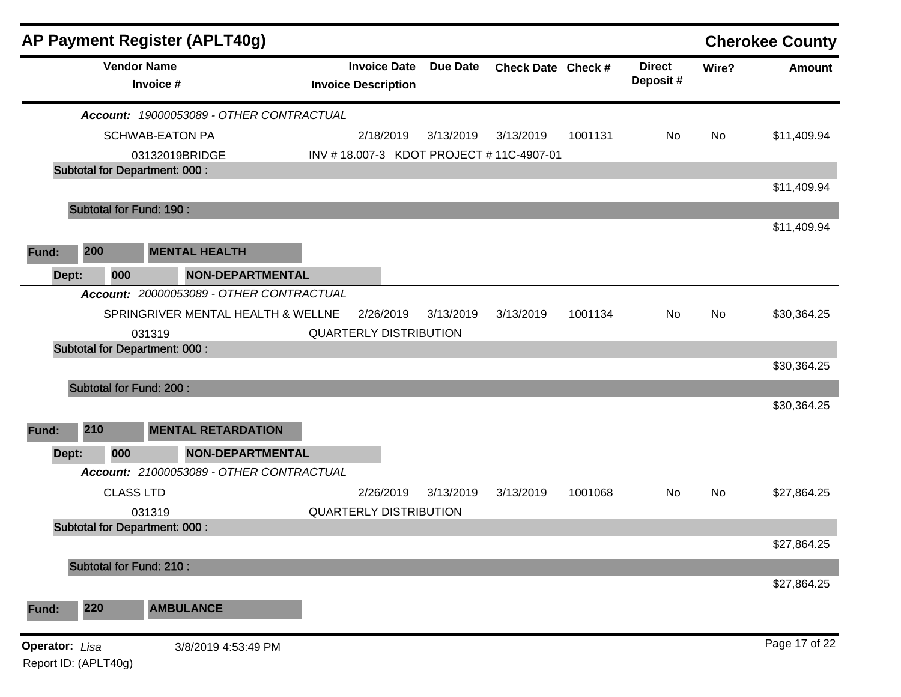| <b>AP Payment Register (APLT40g)</b>          |                                    |                                                   |                 |                    |         |                           |       | <b>Cherokee County</b> |
|-----------------------------------------------|------------------------------------|---------------------------------------------------|-----------------|--------------------|---------|---------------------------|-------|------------------------|
| <b>Vendor Name</b><br>Invoice #               |                                    | <b>Invoice Date</b><br><b>Invoice Description</b> | <b>Due Date</b> | Check Date Check # |         | <b>Direct</b><br>Deposit# | Wire? | <b>Amount</b>          |
| Account: 19000053089 - OTHER CONTRACTUAL      |                                    |                                                   |                 |                    |         |                           |       |                        |
| <b>SCHWAB-EATON PA</b>                        |                                    | 2/18/2019                                         | 3/13/2019       | 3/13/2019          | 1001131 | No                        | No    | \$11,409.94            |
| 03132019BRIDGE                                |                                    | INV #18.007-3 KDOT PROJECT #11C-4907-01           |                 |                    |         |                           |       |                        |
| <b>Subtotal for Department: 000:</b>          |                                    |                                                   |                 |                    |         |                           |       |                        |
|                                               |                                    |                                                   |                 |                    |         |                           |       | \$11,409.94            |
| Subtotal for Fund: 190 :                      |                                    |                                                   |                 |                    |         |                           |       |                        |
|                                               |                                    |                                                   |                 |                    |         |                           |       | \$11,409.94            |
| 200<br><b>MENTAL HEALTH</b><br>Fund:          |                                    |                                                   |                 |                    |         |                           |       |                        |
| 000<br>Dept:                                  | <b>NON-DEPARTMENTAL</b>            |                                                   |                 |                    |         |                           |       |                        |
| Account: 20000053089 - OTHER CONTRACTUAL      |                                    |                                                   |                 |                    |         |                           |       |                        |
|                                               | SPRINGRIVER MENTAL HEALTH & WELLNE | 2/26/2019                                         | 3/13/2019       | 3/13/2019          | 1001134 | No                        | No    | \$30,364.25            |
| 031319                                        |                                    | <b>QUARTERLY DISTRIBUTION</b>                     |                 |                    |         |                           |       |                        |
| <b>Subtotal for Department: 000:</b>          |                                    |                                                   |                 |                    |         |                           |       |                        |
|                                               |                                    |                                                   |                 |                    |         |                           |       | \$30,364.25            |
| <b>Subtotal for Fund: 200:</b>                |                                    |                                                   |                 |                    |         |                           |       |                        |
|                                               |                                    |                                                   |                 |                    |         |                           |       | \$30,364.25            |
| 210<br>Fund:                                  | <b>MENTAL RETARDATION</b>          |                                                   |                 |                    |         |                           |       |                        |
| Dept:<br>000                                  | <b>NON-DEPARTMENTAL</b>            |                                                   |                 |                    |         |                           |       |                        |
| Account: 21000053089 - OTHER CONTRACTUAL      |                                    |                                                   |                 |                    |         |                           |       |                        |
| <b>CLASS LTD</b>                              |                                    | 2/26/2019                                         | 3/13/2019       | 3/13/2019          | 1001068 | No                        | No    | \$27,864.25            |
| 031319                                        |                                    | <b>QUARTERLY DISTRIBUTION</b>                     |                 |                    |         |                           |       |                        |
| <b>Subtotal for Department: 000:</b>          |                                    |                                                   |                 |                    |         |                           |       |                        |
|                                               |                                    |                                                   |                 |                    |         |                           |       | \$27,864.25            |
| <b>Subtotal for Fund: 210:</b>                |                                    |                                                   |                 |                    |         |                           |       |                        |
|                                               |                                    |                                                   |                 |                    |         |                           |       | \$27,864.25            |
| 220<br><b>AMBULANCE</b><br>Fund:              |                                    |                                                   |                 |                    |         |                           |       |                        |
| <b>Operator:</b> Lisa<br>Report ID: (APLT40g) | 3/8/2019 4:53:49 PM                |                                                   |                 |                    |         |                           |       | Page 17 of 22          |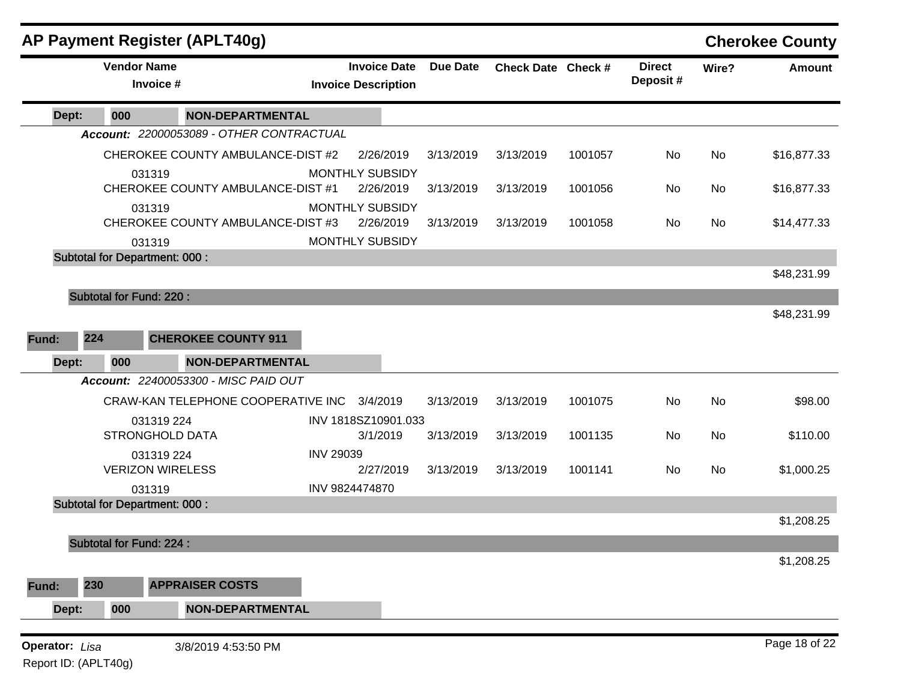| <b>Vendor Name</b><br><b>Due Date</b><br><b>Direct</b><br><b>Invoice Date</b><br>Check Date Check #<br>Amount<br>Wire?<br>Deposit#<br>Invoice #<br><b>Invoice Description</b><br>000<br><b>NON-DEPARTMENTAL</b><br>Dept:<br>Account: 22000053089 - OTHER CONTRACTUAL<br>CHEROKEE COUNTY AMBULANCE-DIST #2<br>2/26/2019<br>3/13/2019<br>3/13/2019<br>1001057<br>No<br>No<br><b>MONTHLY SUBSIDY</b><br>031319<br>CHEROKEE COUNTY AMBULANCE-DIST #1<br>2/26/2019<br>3/13/2019<br>3/13/2019<br>1001056<br>No<br>No<br>MONTHLY SUBSIDY<br>031319<br>CHEROKEE COUNTY AMBULANCE-DIST #3<br>2/26/2019<br>1001058<br>3/13/2019<br>3/13/2019<br>No<br>No<br><b>MONTHLY SUBSIDY</b><br>031319<br><b>Subtotal for Department: 000:</b><br><b>Subtotal for Fund: 220:</b><br>224<br><b>CHEROKEE COUNTY 911</b><br>000<br><b>NON-DEPARTMENTAL</b><br>Dept:<br>Account: 22400053300 - MISC PAID OUT<br>CRAW-KAN TELEPHONE COOPERATIVE INC 3/4/2019<br>No<br>3/13/2019<br>3/13/2019<br>1001075<br>No<br>INV 1818SZ10901.033<br>031319 224<br><b>STRONGHOLD DATA</b><br>3/1/2019<br>3/13/2019<br>3/13/2019<br>1001135<br>No<br>No<br><b>INV 29039</b><br>031319 224<br><b>VERIZON WIRELESS</b><br>1001141<br>2/27/2019<br>3/13/2019<br>3/13/2019<br>No<br>No<br>INV 9824474870<br>031319<br><b>Subtotal for Department: 000:</b><br>Subtotal for Fund: 224 :<br>230<br><b>APPRAISER COSTS</b><br><b>NON-DEPARTMENTAL</b><br>000<br>Dept:<br><b>Operator:</b> Lisa |       | <b>AP Payment Register (APLT40g)</b> |  |  |  | <b>Cherokee County</b> |
|--------------------------------------------------------------------------------------------------------------------------------------------------------------------------------------------------------------------------------------------------------------------------------------------------------------------------------------------------------------------------------------------------------------------------------------------------------------------------------------------------------------------------------------------------------------------------------------------------------------------------------------------------------------------------------------------------------------------------------------------------------------------------------------------------------------------------------------------------------------------------------------------------------------------------------------------------------------------------------------------------------------------------------------------------------------------------------------------------------------------------------------------------------------------------------------------------------------------------------------------------------------------------------------------------------------------------------------------------------------------------------------------------------------------------------------------------|-------|--------------------------------------|--|--|--|------------------------|
|                                                                                                                                                                                                                                                                                                                                                                                                                                                                                                                                                                                                                                                                                                                                                                                                                                                                                                                                                                                                                                                                                                                                                                                                                                                                                                                                                                                                                                                  |       |                                      |  |  |  |                        |
| \$16,877.33<br>\$16,877.33<br>\$14,477.33<br>\$48,231.99<br>\$48,231.99<br>\$98.00<br>\$110.00<br>\$1,000.25<br>\$1,208.25                                                                                                                                                                                                                                                                                                                                                                                                                                                                                                                                                                                                                                                                                                                                                                                                                                                                                                                                                                                                                                                                                                                                                                                                                                                                                                                       |       |                                      |  |  |  |                        |
| \$1,208.25                                                                                                                                                                                                                                                                                                                                                                                                                                                                                                                                                                                                                                                                                                                                                                                                                                                                                                                                                                                                                                                                                                                                                                                                                                                                                                                                                                                                                                       |       |                                      |  |  |  |                        |
|                                                                                                                                                                                                                                                                                                                                                                                                                                                                                                                                                                                                                                                                                                                                                                                                                                                                                                                                                                                                                                                                                                                                                                                                                                                                                                                                                                                                                                                  |       |                                      |  |  |  |                        |
|                                                                                                                                                                                                                                                                                                                                                                                                                                                                                                                                                                                                                                                                                                                                                                                                                                                                                                                                                                                                                                                                                                                                                                                                                                                                                                                                                                                                                                                  |       |                                      |  |  |  |                        |
|                                                                                                                                                                                                                                                                                                                                                                                                                                                                                                                                                                                                                                                                                                                                                                                                                                                                                                                                                                                                                                                                                                                                                                                                                                                                                                                                                                                                                                                  |       |                                      |  |  |  |                        |
|                                                                                                                                                                                                                                                                                                                                                                                                                                                                                                                                                                                                                                                                                                                                                                                                                                                                                                                                                                                                                                                                                                                                                                                                                                                                                                                                                                                                                                                  |       |                                      |  |  |  |                        |
|                                                                                                                                                                                                                                                                                                                                                                                                                                                                                                                                                                                                                                                                                                                                                                                                                                                                                                                                                                                                                                                                                                                                                                                                                                                                                                                                                                                                                                                  |       |                                      |  |  |  |                        |
|                                                                                                                                                                                                                                                                                                                                                                                                                                                                                                                                                                                                                                                                                                                                                                                                                                                                                                                                                                                                                                                                                                                                                                                                                                                                                                                                                                                                                                                  |       |                                      |  |  |  |                        |
|                                                                                                                                                                                                                                                                                                                                                                                                                                                                                                                                                                                                                                                                                                                                                                                                                                                                                                                                                                                                                                                                                                                                                                                                                                                                                                                                                                                                                                                  |       |                                      |  |  |  |                        |
|                                                                                                                                                                                                                                                                                                                                                                                                                                                                                                                                                                                                                                                                                                                                                                                                                                                                                                                                                                                                                                                                                                                                                                                                                                                                                                                                                                                                                                                  |       |                                      |  |  |  |                        |
|                                                                                                                                                                                                                                                                                                                                                                                                                                                                                                                                                                                                                                                                                                                                                                                                                                                                                                                                                                                                                                                                                                                                                                                                                                                                                                                                                                                                                                                  |       |                                      |  |  |  |                        |
|                                                                                                                                                                                                                                                                                                                                                                                                                                                                                                                                                                                                                                                                                                                                                                                                                                                                                                                                                                                                                                                                                                                                                                                                                                                                                                                                                                                                                                                  |       |                                      |  |  |  |                        |
|                                                                                                                                                                                                                                                                                                                                                                                                                                                                                                                                                                                                                                                                                                                                                                                                                                                                                                                                                                                                                                                                                                                                                                                                                                                                                                                                                                                                                                                  | Fund: |                                      |  |  |  |                        |
|                                                                                                                                                                                                                                                                                                                                                                                                                                                                                                                                                                                                                                                                                                                                                                                                                                                                                                                                                                                                                                                                                                                                                                                                                                                                                                                                                                                                                                                  |       |                                      |  |  |  |                        |
|                                                                                                                                                                                                                                                                                                                                                                                                                                                                                                                                                                                                                                                                                                                                                                                                                                                                                                                                                                                                                                                                                                                                                                                                                                                                                                                                                                                                                                                  |       |                                      |  |  |  |                        |
|                                                                                                                                                                                                                                                                                                                                                                                                                                                                                                                                                                                                                                                                                                                                                                                                                                                                                                                                                                                                                                                                                                                                                                                                                                                                                                                                                                                                                                                  |       |                                      |  |  |  |                        |
|                                                                                                                                                                                                                                                                                                                                                                                                                                                                                                                                                                                                                                                                                                                                                                                                                                                                                                                                                                                                                                                                                                                                                                                                                                                                                                                                                                                                                                                  |       |                                      |  |  |  |                        |
|                                                                                                                                                                                                                                                                                                                                                                                                                                                                                                                                                                                                                                                                                                                                                                                                                                                                                                                                                                                                                                                                                                                                                                                                                                                                                                                                                                                                                                                  |       |                                      |  |  |  |                        |
|                                                                                                                                                                                                                                                                                                                                                                                                                                                                                                                                                                                                                                                                                                                                                                                                                                                                                                                                                                                                                                                                                                                                                                                                                                                                                                                                                                                                                                                  |       |                                      |  |  |  |                        |
|                                                                                                                                                                                                                                                                                                                                                                                                                                                                                                                                                                                                                                                                                                                                                                                                                                                                                                                                                                                                                                                                                                                                                                                                                                                                                                                                                                                                                                                  |       |                                      |  |  |  |                        |
|                                                                                                                                                                                                                                                                                                                                                                                                                                                                                                                                                                                                                                                                                                                                                                                                                                                                                                                                                                                                                                                                                                                                                                                                                                                                                                                                                                                                                                                  |       |                                      |  |  |  |                        |
|                                                                                                                                                                                                                                                                                                                                                                                                                                                                                                                                                                                                                                                                                                                                                                                                                                                                                                                                                                                                                                                                                                                                                                                                                                                                                                                                                                                                                                                  |       |                                      |  |  |  |                        |
|                                                                                                                                                                                                                                                                                                                                                                                                                                                                                                                                                                                                                                                                                                                                                                                                                                                                                                                                                                                                                                                                                                                                                                                                                                                                                                                                                                                                                                                  |       |                                      |  |  |  |                        |
|                                                                                                                                                                                                                                                                                                                                                                                                                                                                                                                                                                                                                                                                                                                                                                                                                                                                                                                                                                                                                                                                                                                                                                                                                                                                                                                                                                                                                                                  |       |                                      |  |  |  |                        |
|                                                                                                                                                                                                                                                                                                                                                                                                                                                                                                                                                                                                                                                                                                                                                                                                                                                                                                                                                                                                                                                                                                                                                                                                                                                                                                                                                                                                                                                  |       |                                      |  |  |  |                        |
|                                                                                                                                                                                                                                                                                                                                                                                                                                                                                                                                                                                                                                                                                                                                                                                                                                                                                                                                                                                                                                                                                                                                                                                                                                                                                                                                                                                                                                                  | Fund: |                                      |  |  |  |                        |
|                                                                                                                                                                                                                                                                                                                                                                                                                                                                                                                                                                                                                                                                                                                                                                                                                                                                                                                                                                                                                                                                                                                                                                                                                                                                                                                                                                                                                                                  |       |                                      |  |  |  |                        |
|                                                                                                                                                                                                                                                                                                                                                                                                                                                                                                                                                                                                                                                                                                                                                                                                                                                                                                                                                                                                                                                                                                                                                                                                                                                                                                                                                                                                                                                  |       | 3/8/2019 4:53:50 PM                  |  |  |  | Page 18 of 22          |

Report ID: (APLT40g)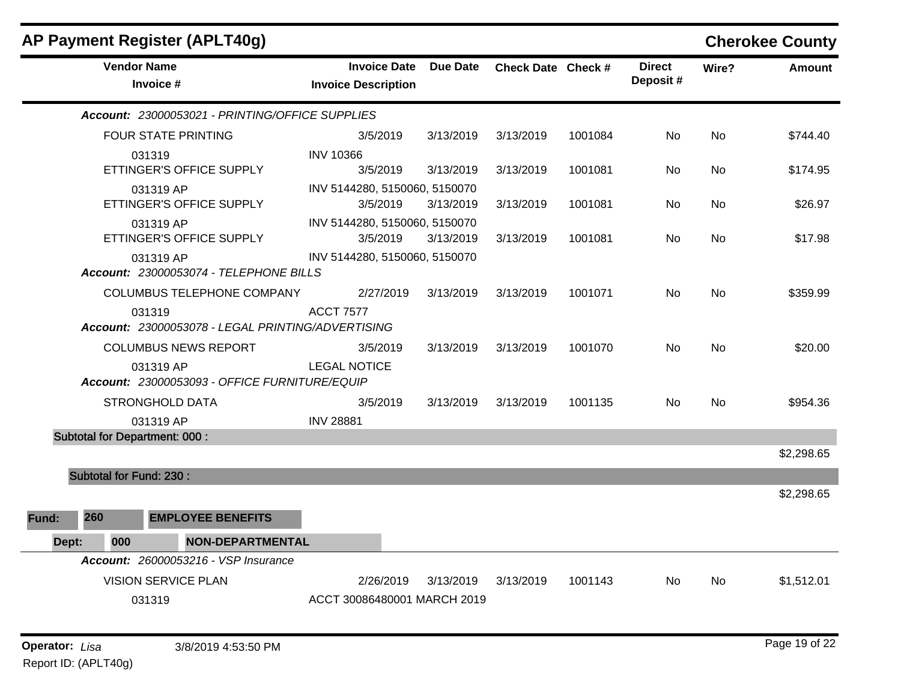| AP Payment Register (APLT40g)                               |                                                   |           |                    |         |                           |       | <b>Cherokee County</b> |
|-------------------------------------------------------------|---------------------------------------------------|-----------|--------------------|---------|---------------------------|-------|------------------------|
| <b>Vendor Name</b><br>Invoice #                             | <b>Invoice Date</b><br><b>Invoice Description</b> | Due Date  | Check Date Check # |         | <b>Direct</b><br>Deposit# | Wire? | <b>Amount</b>          |
| Account: 23000053021 - PRINTING/OFFICE SUPPLIES             |                                                   |           |                    |         |                           |       |                        |
| <b>FOUR STATE PRINTING</b>                                  | 3/5/2019                                          | 3/13/2019 | 3/13/2019          | 1001084 | No                        | No    | \$744.40               |
| 031319                                                      | <b>INV 10366</b>                                  |           |                    |         |                           |       |                        |
| ETTINGER'S OFFICE SUPPLY                                    | 3/5/2019                                          | 3/13/2019 | 3/13/2019          | 1001081 | No.                       | No.   | \$174.95               |
| 031319 AP<br>ETTINGER'S OFFICE SUPPLY                       | INV 5144280, 5150060, 5150070<br>3/5/2019         | 3/13/2019 | 3/13/2019          | 1001081 | No                        | No    | \$26.97                |
| 031319 AP<br>ETTINGER'S OFFICE SUPPLY                       | INV 5144280, 5150060, 5150070<br>3/5/2019         | 3/13/2019 | 3/13/2019          | 1001081 | No.                       | No.   | \$17.98                |
| 031319 AP<br>Account: 23000053074 - TELEPHONE BILLS         | INV 5144280, 5150060, 5150070                     |           |                    |         |                           |       |                        |
| COLUMBUS TELEPHONE COMPANY                                  | 2/27/2019                                         | 3/13/2019 | 3/13/2019          | 1001071 | No.                       | No    | \$359.99               |
| 031319<br>Account: 23000053078 - LEGAL PRINTING/ADVERTISING | <b>ACCT 7577</b>                                  |           |                    |         |                           |       |                        |
| <b>COLUMBUS NEWS REPORT</b>                                 | 3/5/2019                                          | 3/13/2019 | 3/13/2019          | 1001070 | No.                       | No.   | \$20.00                |
| 031319 AP<br>Account: 23000053093 - OFFICE FURNITURE/EQUIP  | <b>LEGAL NOTICE</b>                               |           |                    |         |                           |       |                        |
| <b>STRONGHOLD DATA</b>                                      | 3/5/2019                                          | 3/13/2019 | 3/13/2019          | 1001135 | No.                       | No.   | \$954.36               |
| 031319 AP                                                   | <b>INV 28881</b>                                  |           |                    |         |                           |       |                        |
| <b>Subtotal for Department: 000:</b>                        |                                                   |           |                    |         |                           |       |                        |
|                                                             |                                                   |           |                    |         |                           |       | \$2,298.65             |
| <b>Subtotal for Fund: 230:</b>                              |                                                   |           |                    |         |                           |       |                        |
|                                                             |                                                   |           |                    |         |                           |       | \$2,298.65             |
| 260<br><b>EMPLOYEE BENEFITS</b><br>Fund:                    |                                                   |           |                    |         |                           |       |                        |
| 000<br>NON-DEPARTMENTAL<br>Dept:                            |                                                   |           |                    |         |                           |       |                        |
| Account: 26000053216 - VSP Insurance                        |                                                   |           |                    |         |                           |       |                        |
| <b>VISION SERVICE PLAN</b>                                  | 2/26/2019                                         | 3/13/2019 | 3/13/2019          | 1001143 | No                        | No    | \$1,512.01             |
| 031319                                                      | ACCT 30086480001 MARCH 2019                       |           |                    |         |                           |       |                        |
|                                                             |                                                   |           |                    |         |                           |       |                        |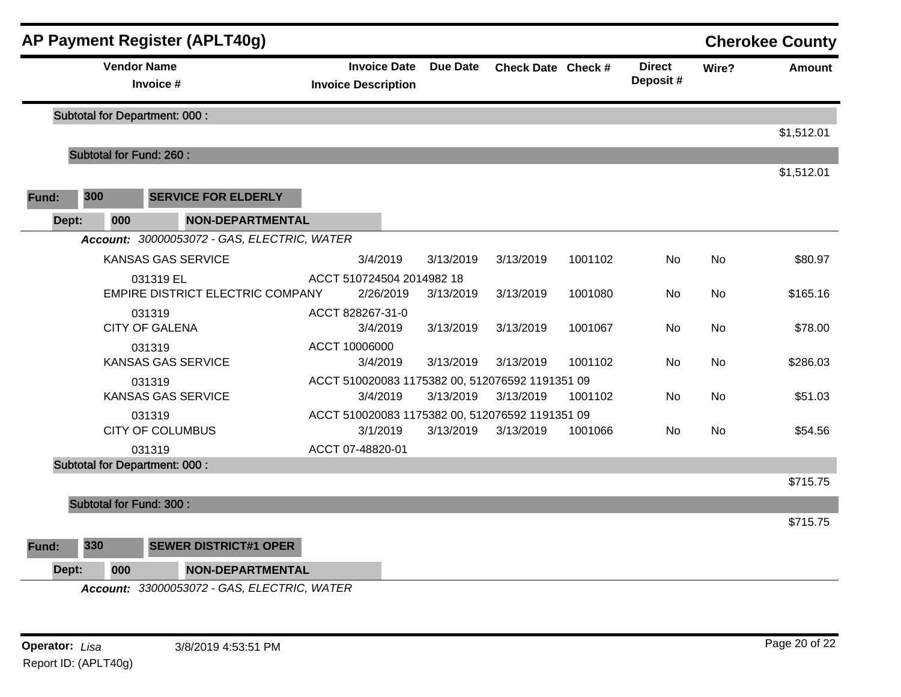| 300<br><b>Fund:</b><br>Dept: | <b>Vendor Name</b><br>Invoice #      |                                             |                                                 |                     |                 |                    |         |                           |           |            |
|------------------------------|--------------------------------------|---------------------------------------------|-------------------------------------------------|---------------------|-----------------|--------------------|---------|---------------------------|-----------|------------|
|                              |                                      |                                             | <b>Invoice Description</b>                      | <b>Invoice Date</b> | <b>Due Date</b> | Check Date Check # |         | <b>Direct</b><br>Deposit# | Wire?     | Amount     |
|                              | <b>Subtotal for Department: 000:</b> |                                             |                                                 |                     |                 |                    |         |                           |           |            |
|                              |                                      |                                             |                                                 |                     |                 |                    |         |                           |           | \$1,512.01 |
|                              | <b>Subtotal for Fund: 260:</b>       |                                             |                                                 |                     |                 |                    |         |                           |           |            |
|                              |                                      |                                             |                                                 |                     |                 |                    |         |                           |           | \$1,512.01 |
|                              |                                      | <b>SERVICE FOR ELDERLY</b>                  |                                                 |                     |                 |                    |         |                           |           |            |
|                              | 000                                  | <b>NON-DEPARTMENTAL</b>                     |                                                 |                     |                 |                    |         |                           |           |            |
|                              |                                      | Account: 30000053072 - GAS, ELECTRIC, WATER |                                                 |                     |                 |                    |         |                           |           |            |
|                              | <b>KANSAS GAS SERVICE</b>            |                                             | 3/4/2019                                        |                     | 3/13/2019       | 3/13/2019          | 1001102 | No                        | No        | \$80.97    |
|                              | 031319 EL                            |                                             | ACCT 510724504 2014982 18                       |                     |                 |                    |         |                           |           |            |
|                              |                                      | <b>EMPIRE DISTRICT ELECTRIC COMPANY</b>     |                                                 | 2/26/2019           | 3/13/2019       | 3/13/2019          | 1001080 | No                        | No        | \$165.16   |
|                              | 031319                               |                                             | ACCT 828267-31-0                                |                     |                 |                    |         |                           |           |            |
|                              | <b>CITY OF GALENA</b>                |                                             | 3/4/2019                                        |                     | 3/13/2019       | 3/13/2019          | 1001067 | No                        | <b>No</b> | \$78.00    |
|                              | 031319<br><b>KANSAS GAS SERVICE</b>  |                                             | ACCT 10006000<br>3/4/2019                       |                     | 3/13/2019       | 3/13/2019          | 1001102 | No.                       | No        | \$286.03   |
|                              | 031319                               |                                             | ACCT 510020083 1175382 00, 512076592 1191351 09 |                     |                 |                    |         |                           |           |            |
|                              | <b>KANSAS GAS SERVICE</b>            |                                             | 3/4/2019                                        |                     | 3/13/2019       | 3/13/2019          | 1001102 | No.                       | No.       | \$51.03    |
|                              | 031319                               |                                             | ACCT 510020083 1175382 00, 512076592 1191351 09 |                     |                 |                    |         |                           |           |            |
|                              | <b>CITY OF COLUMBUS</b>              |                                             | 3/1/2019                                        |                     | 3/13/2019       | 3/13/2019          | 1001066 | No                        | No        | \$54.56    |
|                              | 031319                               |                                             | ACCT 07-48820-01                                |                     |                 |                    |         |                           |           |            |
|                              | <b>Subtotal for Department: 000:</b> |                                             |                                                 |                     |                 |                    |         |                           |           |            |
|                              |                                      |                                             |                                                 |                     |                 |                    |         |                           |           | \$715.75   |
|                              | <b>Subtotal for Fund: 300:</b>       |                                             |                                                 |                     |                 |                    |         |                           |           |            |
|                              |                                      |                                             |                                                 |                     |                 |                    |         |                           |           | \$715.75   |
| 330<br>Fund:                 |                                      | <b>SEWER DISTRICT#1 OPER</b>                |                                                 |                     |                 |                    |         |                           |           |            |
| Dept:                        | 000                                  | <b>NON-DEPARTMENTAL</b>                     |                                                 |                     |                 |                    |         |                           |           |            |
|                              |                                      | Account: 33000053072 - GAS, ELECTRIC, WATER |                                                 |                     |                 |                    |         |                           |           |            |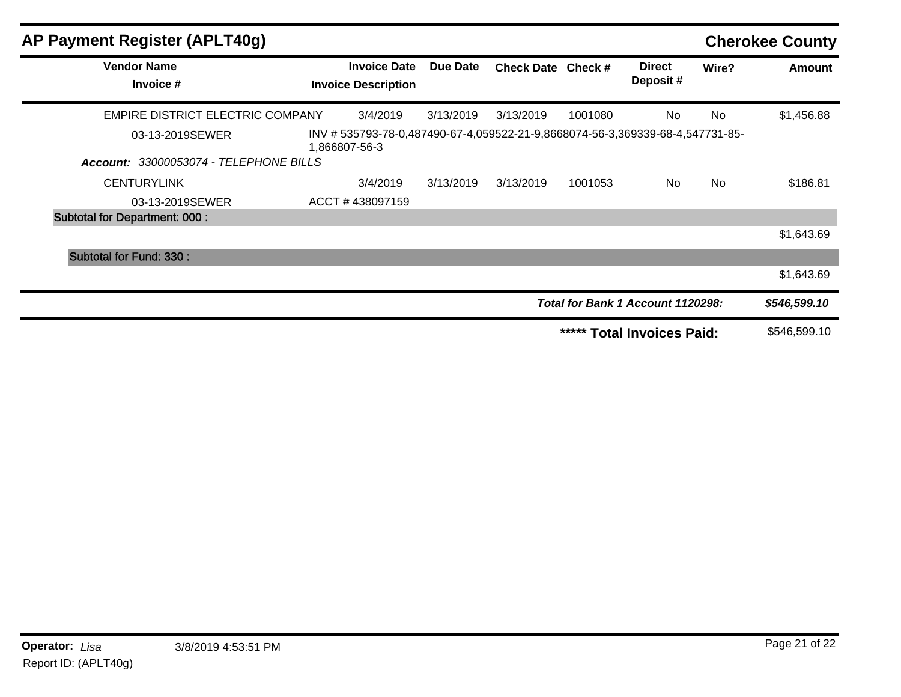| AP Payment Register (APLT40g)          |                                                                                             |           |                    |         |                                   |           | <b>Cherokee County</b> |
|----------------------------------------|---------------------------------------------------------------------------------------------|-----------|--------------------|---------|-----------------------------------|-----------|------------------------|
| <b>Vendor Name</b><br>Invoice #        | <b>Invoice Date</b><br><b>Invoice Description</b>                                           | Due Date  | Check Date Check # |         | <b>Direct</b><br>Deposit#         | Wire?     | Amount                 |
| EMPIRE DISTRICT ELECTRIC COMPANY       | 3/4/2019                                                                                    | 3/13/2019 | 3/13/2019          | 1001080 | <b>No</b>                         | No        | \$1,456.88             |
| 03-13-2019SEWER                        | INV #535793-78-0,487490-67-4,059522-21-9,8668074-56-3,369339-68-4,547731-85-<br>866807-56-3 |           |                    |         |                                   |           |                        |
| Account: 33000053074 - TELEPHONE BILLS |                                                                                             |           |                    |         |                                   |           |                        |
| <b>CENTURYLINK</b>                     | 3/4/2019                                                                                    | 3/13/2019 | 3/13/2019          | 1001053 | No.                               | <b>No</b> | \$186.81               |
| 03-13-2019SEWER                        | ACCT#438097159                                                                              |           |                    |         |                                   |           |                        |
| <b>Subtotal for Department: 000:</b>   |                                                                                             |           |                    |         |                                   |           |                        |
|                                        |                                                                                             |           |                    |         |                                   |           | \$1,643.69             |
| Subtotal for Fund: 330 :               |                                                                                             |           |                    |         |                                   |           |                        |
|                                        |                                                                                             |           |                    |         |                                   |           | \$1,643.69             |
|                                        |                                                                                             |           |                    |         | Total for Bank 1 Account 1120298: |           | \$546,599.10           |
|                                        |                                                                                             |           |                    | *****   | <b>Total Invoices Paid:</b>       |           | \$546,599.10           |